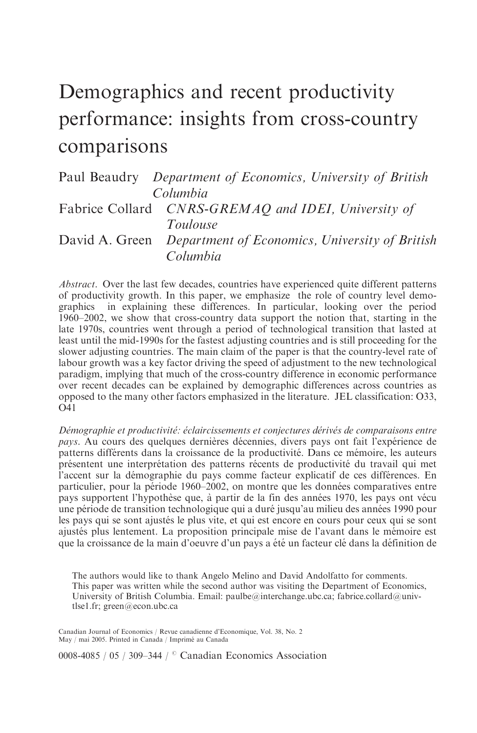# Demographics and recent productivity performance: insights from cross-country comparisons

| Paul Beaudry Department of Economics, University of British   |
|---------------------------------------------------------------|
| Columbia                                                      |
| Fabrice Collard CNRS-GREMAQ and IDEI, University of           |
| Toulouse                                                      |
| David A. Green Department of Economics, University of British |
| Columbia                                                      |

Abstract. Over the last few decades, countries have experienced quite different patterns of productivity growth. In this paper, we emphasize the role of country level demographics in explaining these differences. In particular, looking over the period 1960–2002, we show that cross-country data support the notion that, starting in the late 1970s, countries went through a period of technological transition that lasted at least until the mid-1990s for the fastest adjusting countries and is still proceeding for the slower adjusting countries. The main claim of the paper is that the country-level rate of labour growth was a key factor driving the speed of adjustment to the new technological paradigm, implying that much of the cross-country difference in economic performance over recent decades can be explained by demographic differences across countries as opposed to the many other factors emphasized in the literature. JEL classification: O33, O41

Démographie et productivité: éclaircissements et conjectures dérivés de comparaisons entre pays. Au cours des quelques dernières décennies, divers pays ont fait l'expérience de patterns différents dans la croissance de la productivité. Dans ce mémoire, les auteurs présentent une interprétation des patterns récents de productivité du travail qui met l'accent sur la démographie du pays comme facteur explicatif de ces différences. En particulier, pour la période 1960–2002, on montre que les données comparatives entre pays supportent l'hypothèse que, à partir de la fin des années 1970, les pays ont vécu une période de transition technologique qui a duré jusqu'au milieu des années 1990 pour les pays qui se sont ajustés le plus vite, et qui est encore en cours pour ceux qui se sont ajustés plus lentement. La proposition principale mise de l'avant dans le mémoire est que la croissance de la main d'oeuvre d'un pays a été un facteur clé dans la définition de

The authors would like to thank Angelo Melino and David Andolfatto for comments. This paper was written while the second author was visiting the Department of Economics, University of British Columbia. Email: paulbe@interchange.ubc.ca; fabrice.collard@univtlse1.fr; green@econ.ubc.ca

Canadian Journal of Economics / Revue canadienne d'Economique, Vol. 38, No. 2 May / mai 2005. Printed in Canada / Imprime´ au Canada

0008-4085 / 05 / 309-344 /  $^{\circ}$  Canadian Economics Association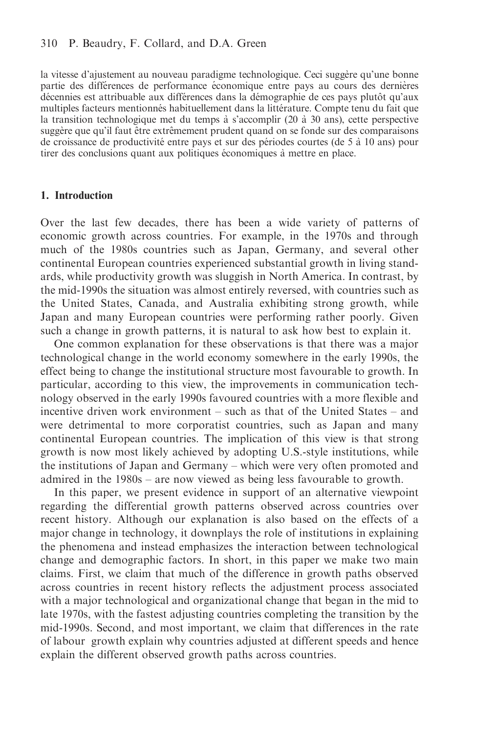## 310 P. Beaudry, F. Collard, and D.A. Green

la vitesse d'ajustement au nouveau paradigme technologique. Ceci suggère qu'une bonne partie des différences de performance économique entre pays au cours des dernières décennies est attribuable aux différences dans la démographie de ces pays plutôt qu'aux multiples facteurs mentionnés habituellement dans la littérature. Compte tenu du fait que la transition technologique met du temps à s'accomplir (20 à 30 ans), cette perspective suggère que qu'il faut être extrêmement prudent quand on se fonde sur des comparaisons de croissance de productivité entre pays et sur des périodes courtes (de 5 à 10 ans) pour tirer des conclusions quant aux politiques économiques à mettre en place.

# 1. Introduction

Over the last few decades, there has been a wide variety of patterns of economic growth across countries. For example, in the 1970s and through much of the 1980s countries such as Japan, Germany, and several other continental European countries experienced substantial growth in living standards, while productivity growth was sluggish in North America. In contrast, by the mid-1990s the situation was almost entirely reversed, with countries such as the United States, Canada, and Australia exhibiting strong growth, while Japan and many European countries were performing rather poorly. Given such a change in growth patterns, it is natural to ask how best to explain it.

One common explanation for these observations is that there was a major technological change in the world economy somewhere in the early 1990s, the effect being to change the institutional structure most favourable to growth. In particular, according to this view, the improvements in communication technology observed in the early 1990s favoured countries with a more flexible and incentive driven work environment – such as that of the United States – and were detrimental to more corporatist countries, such as Japan and many continental European countries. The implication of this view is that strong growth is now most likely achieved by adopting U.S.-style institutions, while the institutions of Japan and Germany – which were very often promoted and admired in the 1980s – are now viewed as being less favourable to growth.

In this paper, we present evidence in support of an alternative viewpoint regarding the differential growth patterns observed across countries over recent history. Although our explanation is also based on the effects of a major change in technology, it downplays the role of institutions in explaining the phenomena and instead emphasizes the interaction between technological change and demographic factors. In short, in this paper we make two main claims. First, we claim that much of the difference in growth paths observed across countries in recent history reflects the adjustment process associated with a major technological and organizational change that began in the mid to late 1970s, with the fastest adjusting countries completing the transition by the mid-1990s. Second, and most important, we claim that differences in the rate of labour growth explain why countries adjusted at different speeds and hence explain the different observed growth paths across countries.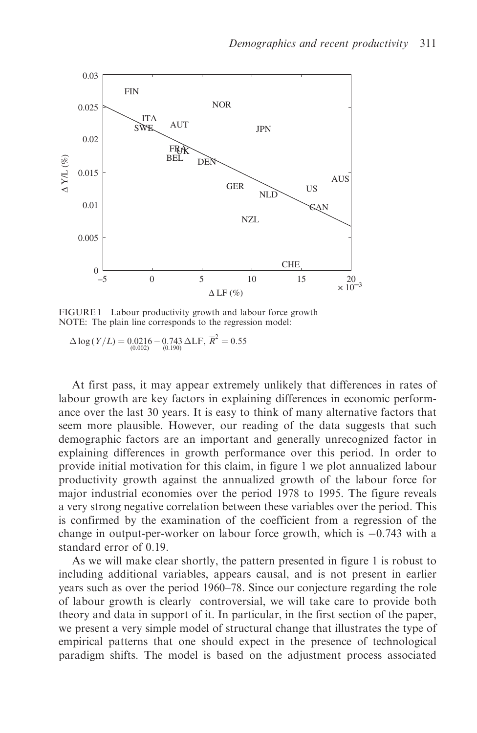

FIGURE 1 Labour productivity growth and labour force growth NOTE: The plain line corresponds to the regression model:

 $\Delta \log (Y/L) = 0.0216 - 0.743 \, \Delta \text{LF}, \overline{R}^2 = 0.55$ 

At first pass, it may appear extremely unlikely that differences in rates of labour growth are key factors in explaining differences in economic performance over the last 30 years. It is easy to think of many alternative factors that seem more plausible. However, our reading of the data suggests that such demographic factors are an important and generally unrecognized factor in explaining differences in growth performance over this period. In order to provide initial motivation for this claim, in figure 1 we plot annualized labour productivity growth against the annualized growth of the labour force for major industrial economies over the period 1978 to 1995. The figure reveals a very strong negative correlation between these variables over the period. This is confirmed by the examination of the coefficient from a regression of the change in output-per-worker on labour force growth, which is  $-0.743$  with a standard error of 0.19.

As we will make clear shortly, the pattern presented in figure 1 is robust to including additional variables, appears causal, and is not present in earlier years such as over the period 1960–78. Since our conjecture regarding the role of labour growth is clearly controversial, we will take care to provide both theory and data in support of it. In particular, in the first section of the paper, we present a very simple model of structural change that illustrates the type of empirical patterns that one should expect in the presence of technological paradigm shifts. The model is based on the adjustment process associated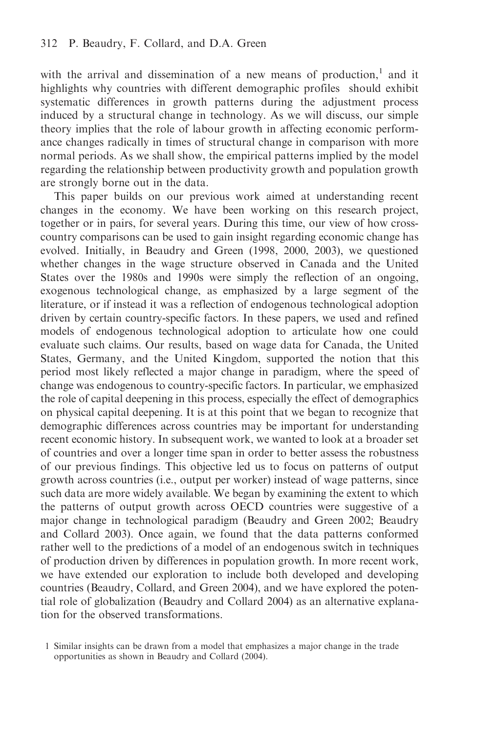with the arrival and dissemination of a new means of production, $<sup>1</sup>$  and it</sup> highlights why countries with different demographic profiles should exhibit systematic differences in growth patterns during the adjustment process induced by a structural change in technology. As we will discuss, our simple theory implies that the role of labour growth in affecting economic performance changes radically in times of structural change in comparison with more normal periods. As we shall show, the empirical patterns implied by the model regarding the relationship between productivity growth and population growth are strongly borne out in the data.

This paper builds on our previous work aimed at understanding recent changes in the economy. We have been working on this research project, together or in pairs, for several years. During this time, our view of how crosscountry comparisons can be used to gain insight regarding economic change has evolved. Initially, in Beaudry and Green (1998, 2000, 2003), we questioned whether changes in the wage structure observed in Canada and the United States over the 1980s and 1990s were simply the reflection of an ongoing, exogenous technological change, as emphasized by a large segment of the literature, or if instead it was a reflection of endogenous technological adoption driven by certain country-specific factors. In these papers, we used and refined models of endogenous technological adoption to articulate how one could evaluate such claims. Our results, based on wage data for Canada, the United States, Germany, and the United Kingdom, supported the notion that this period most likely reflected a major change in paradigm, where the speed of change was endogenous to country-specific factors. In particular, we emphasized the role of capital deepening in this process, especially the effect of demographics on physical capital deepening. It is at this point that we began to recognize that demographic differences across countries may be important for understanding recent economic history. In subsequent work, we wanted to look at a broader set of countries and over a longer time span in order to better assess the robustness of our previous findings. This objective led us to focus on patterns of output growth across countries (i.e., output per worker) instead of wage patterns, since such data are more widely available. We began by examining the extent to which the patterns of output growth across OECD countries were suggestive of a major change in technological paradigm (Beaudry and Green 2002; Beaudry and Collard 2003). Once again, we found that the data patterns conformed rather well to the predictions of a model of an endogenous switch in techniques of production driven by differences in population growth. In more recent work, we have extended our exploration to include both developed and developing countries (Beaudry, Collard, and Green 2004), and we have explored the potential role of globalization (Beaudry and Collard 2004) as an alternative explanation for the observed transformations.

<sup>1</sup> Similar insights can be drawn from a model that emphasizes a major change in the trade opportunities as shown in Beaudry and Collard (2004).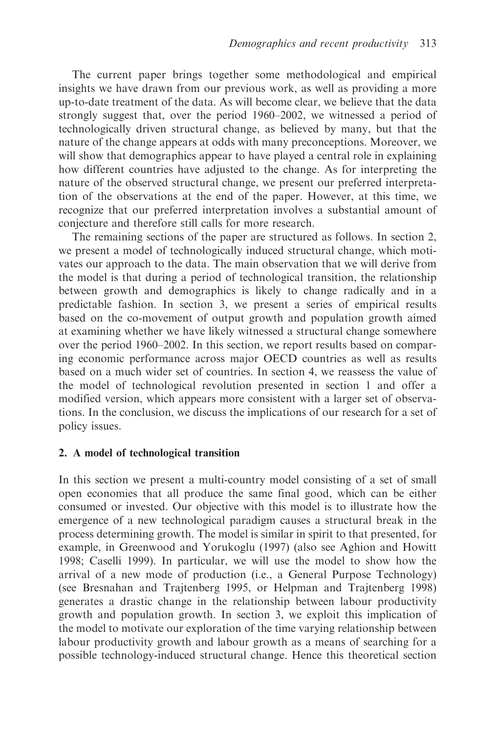The current paper brings together some methodological and empirical insights we have drawn from our previous work, as well as providing a more up-to-date treatment of the data. As will become clear, we believe that the data strongly suggest that, over the period 1960–2002, we witnessed a period of technologically driven structural change, as believed by many, but that the nature of the change appears at odds with many preconceptions. Moreover, we will show that demographics appear to have played a central role in explaining how different countries have adjusted to the change. As for interpreting the nature of the observed structural change, we present our preferred interpretation of the observations at the end of the paper. However, at this time, we recognize that our preferred interpretation involves a substantial amount of conjecture and therefore still calls for more research.

The remaining sections of the paper are structured as follows. In section 2, we present a model of technologically induced structural change, which motivates our approach to the data. The main observation that we will derive from the model is that during a period of technological transition, the relationship between growth and demographics is likely to change radically and in a predictable fashion. In section 3, we present a series of empirical results based on the co-movement of output growth and population growth aimed at examining whether we have likely witnessed a structural change somewhere over the period 1960–2002. In this section, we report results based on comparing economic performance across major OECD countries as well as results based on a much wider set of countries. In section 4, we reassess the value of the model of technological revolution presented in section 1 and offer a modified version, which appears more consistent with a larger set of observations. In the conclusion, we discuss the implications of our research for a set of policy issues.

### 2. A model of technological transition

In this section we present a multi-country model consisting of a set of small open economies that all produce the same final good, which can be either consumed or invested. Our objective with this model is to illustrate how the emergence of a new technological paradigm causes a structural break in the process determining growth. The model is similar in spirit to that presented, for example, in Greenwood and Yorukoglu (1997) (also see Aghion and Howitt 1998; Caselli 1999). In particular, we will use the model to show how the arrival of a new mode of production (i.e., a General Purpose Technology) (see Bresnahan and Trajtenberg 1995, or Helpman and Trajtenberg 1998) generates a drastic change in the relationship between labour productivity growth and population growth. In section 3, we exploit this implication of the model to motivate our exploration of the time varying relationship between labour productivity growth and labour growth as a means of searching for a possible technology-induced structural change. Hence this theoretical section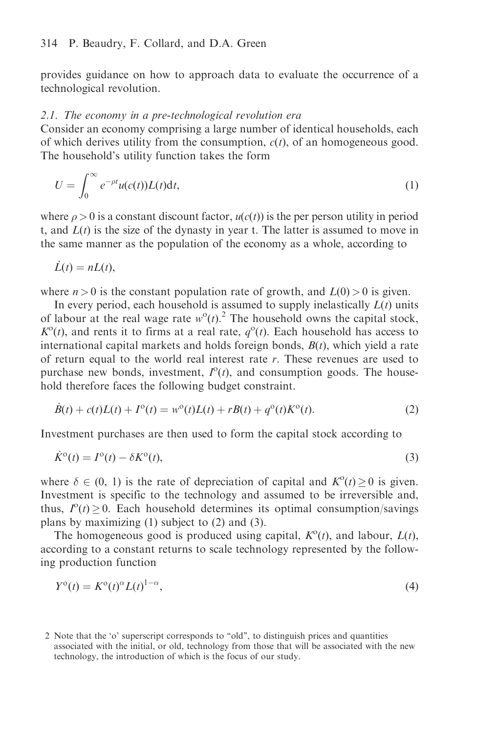provides guidance on how to approach data to evaluate the occurrence of a technological revolution.

#### 2.1. The economy in a pre-technological revolution era

Consider an economy comprising a large number of identical households, each of which derives utility from the consumption,  $c(t)$ , of an homogeneous good. The household's utility function takes the form

$$
U = \int_0^\infty e^{-\rho t} u(c(t)) L(t) \mathrm{d}t,\tag{1}
$$

where  $\rho > 0$  is a constant discount factor,  $u(c(t))$  is the per person utility in period t, and  $L(t)$  is the size of the dynasty in year t. The latter is assumed to move in the same manner as the population of the economy as a whole, according to

$$
\dot{L}(t) = nL(t),
$$

where  $n > 0$  is the constant population rate of growth, and  $L(0) > 0$  is given.

In every period, each household is assumed to supply inelastically  $L(t)$  units of labour at the real wage rate  $w^{\circ}(t)$ .<sup>2</sup> The household owns the capital stock,  $K^{\circ}(t)$ , and rents it to firms at a real rate,  $q^{\circ}(t)$ . Each household has access to international capital markets and holds foreign bonds,  $B(t)$ , which yield a rate of return equal to the world real interest rate  $r$ . These revenues are used to purchase new bonds, investment,  $I^{\circ}(t)$ , and consumption goods. The household therefore faces the following budget constraint.

$$
\dot{B}(t) + c(t)L(t) + I^{\circ}(t) = w^{\circ}(t)L(t) + rB(t) + q^{\circ}(t)K^{\circ}(t). \tag{2}
$$

Investment purchases are then used to form the capital stock according to

$$
\dot{K}^{\circ}(t) = I^{\circ}(t) - \delta K^{\circ}(t),\tag{3}
$$

where  $\delta \in (0, 1)$  is the rate of depreciation of capital and  $K^{\circ}(t) \ge 0$  is given. Investment is specific to the technology and assumed to be irreversible and, thus,  $I^{\circ}(t) \ge 0$ . Each household determines its optimal consumption/savings plans by maximizing (1) subject to (2) and (3).

The homogeneous good is produced using capital,  $K^{\circ}(t)$ , and labour,  $L(t)$ , according to a constant returns to scale technology represented by the following production function

$$
Y^{\circ}(t) = K^{\circ}(t)^{\alpha} L(t)^{1-\alpha}, \tag{4}
$$

<sup>2</sup> Note that the 'o' superscript corresponds to ''old'', to distinguish prices and quantities associated with the initial, or old, technology from those that will be associated with the new technology, the introduction of which is the focus of our study.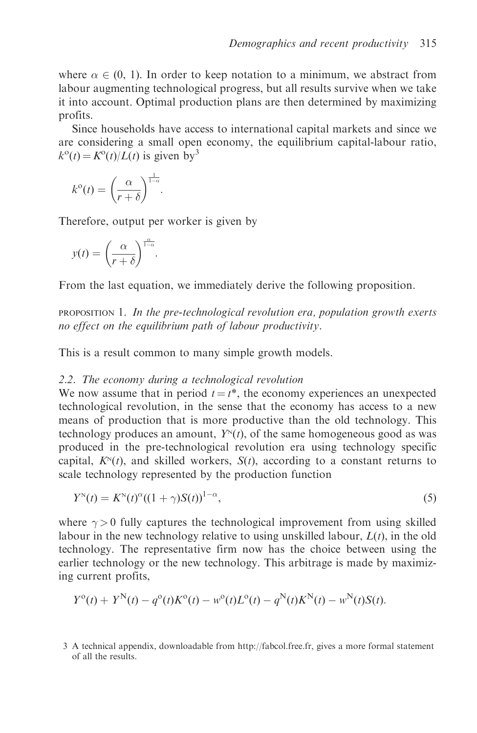where  $\alpha \in (0, 1)$ . In order to keep notation to a minimum, we abstract from labour augmenting technological progress, but all results survive when we take it into account. Optimal production plans are then determined by maximizing profits.

Since households have access to international capital markets and since we are considering a small open economy, the equilibrium capital-labour ratio,  $k^{\circ}(t) = K^{\circ}(t)/L(t)$  is given by<sup>3</sup>

$$
k^{\circ}(t) = \left(\frac{\alpha}{r+\delta}\right)^{\frac{1}{1-\alpha}}.
$$

Therefore, output per worker is given by

$$
y(t) = \left(\frac{\alpha}{r+\delta}\right)^{\frac{\alpha}{1-\alpha}}.
$$

From the last equation, we immediately derive the following proposition.

PROPOSITION 1. In the pre-technological revolution era, population growth exerts no effect on the equilibrium path of labour productivity.

This is a result common to many simple growth models.

# 2.2. The economy during a technological revolution

We now assume that in period  $t = t^*$ , the economy experiences an unexpected technological revolution, in the sense that the economy has access to a new means of production that is more productive than the old technology. This technology produces an amount,  $Y^N(t)$ , of the same homogeneous good as was produced in the pre-technological revolution era using technology specific capital,  $K^{\scriptscriptstyle\rm N}(t)$ , and skilled workers,  $S(t)$ , according to a constant returns to scale technology represented by the production function

$$
Y^{\rm N}(t) = K^{\rm N}(t)^{\alpha}((1+\gamma)S(t))^{1-\alpha}, \tag{5}
$$

where  $\gamma > 0$  fully captures the technological improvement from using skilled labour in the new technology relative to using unskilled labour,  $L(t)$ , in the old technology. The representative firm now has the choice between using the earlier technology or the new technology. This arbitrage is made by maximizing current profits,

$$
Y^{o}(t) + Y^{N}(t) - q^{o}(t)K^{o}(t) - w^{o}(t)L^{o}(t) - q^{N}(t)K^{N}(t) - w^{N}(t)S(t).
$$

<sup>3</sup> A technical appendix, downloadable from http://fabcol.free.fr, gives a more formal statement of all the results.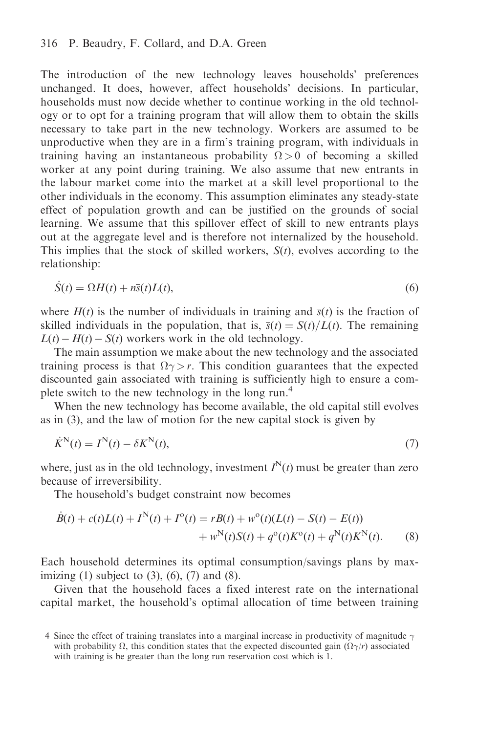The introduction of the new technology leaves households' preferences unchanged. It does, however, affect households' decisions. In particular, households must now decide whether to continue working in the old technology or to opt for a training program that will allow them to obtain the skills necessary to take part in the new technology. Workers are assumed to be unproductive when they are in a firm's training program, with individuals in training having an instantaneous probability  $\Omega > 0$  of becoming a skilled worker at any point during training. We also assume that new entrants in the labour market come into the market at a skill level proportional to the other individuals in the economy. This assumption eliminates any steady-state effect of population growth and can be justified on the grounds of social learning. We assume that this spillover effect of skill to new entrants plays out at the aggregate level and is therefore not internalized by the household. This implies that the stock of skilled workers,  $S(t)$ , evolves according to the relationship:

$$
\dot{S}(t) = \Omega H(t) + n\overline{s}(t)L(t),\tag{6}
$$

where  $H(t)$  is the number of individuals in training and  $\overline{s}(t)$  is the fraction of skilled individuals in the population, that is,  $\bar{s}(t) = S(t)/L(t)$ . The remaining  $L(t) - H(t) - S(t)$  workers work in the old technology.

The main assumption we make about the new technology and the associated training process is that  $\Omega \gamma > r$ . This condition guarantees that the expected discounted gain associated with training is sufficiently high to ensure a complete switch to the new technology in the long run.4

When the new technology has become available, the old capital still evolves as in (3), and the law of motion for the new capital stock is given by

$$
\dot{K}^{\mathcal{N}}(t) = I^{\mathcal{N}}(t) - \delta K^{\mathcal{N}}(t),\tag{7}
$$

where, just as in the old technology, investment  $I^N(t)$  must be greater than zero because of irreversibility.

The household's budget constraint now becomes

$$
\dot{B}(t) + c(t)L(t) + I^{N}(t) + I^{O}(t) = rB(t) + w^{O}(t)(L(t) - S(t) - E(t)) \n+ w^{N}(t)S(t) + q^{O}(t)K^{O}(t) + q^{N}(t)K^{N}(t).
$$
\n(8)

Each household determines its optimal consumption/savings plans by maximizing  $(1)$  subject to  $(3)$ ,  $(6)$ ,  $(7)$  and  $(8)$ .

Given that the household faces a fixed interest rate on the international capital market, the household's optimal allocation of time between training

<sup>4</sup> Since the effect of training translates into a marginal increase in productivity of magnitude  $\gamma$ with probability  $\Omega$ , this condition states that the expected discounted gain  $(\Omega \gamma/r)$  associated with training is be greater than the long run reservation cost which is 1.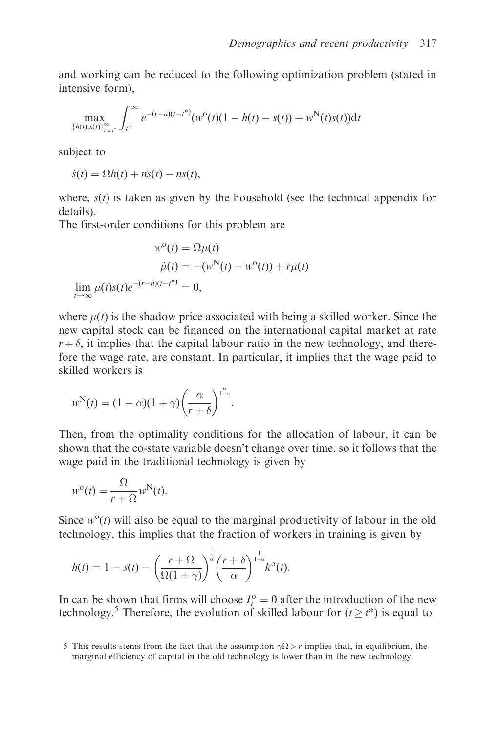and working can be reduced to the following optimization problem (stated in intensive form),

$$
\max_{\{h(t),s(t)\}_{t=1}^{\infty}} \int_{t^*}^{\infty} e^{-(r-n)(t-t^*)} (w^{\circ}(t)(1-h(t)-s(t)) + w^{\mathbb{N}}(t)s(t)) dt
$$

subject to

 $\dot{s}(t) = \Omega h(t) + n\overline{s}(t) - ns(t),$ 

where,  $\overline{s}(t)$  is taken as given by the household (see the technical appendix for details).

The first-order conditions for this problem are

$$
w^{\circ}(t) = \Omega \mu(t)
$$

$$
\dot{\mu}(t) = -(w^{\mathcal{N}}(t) - w^{\circ}(t)) + r\mu(t)
$$

$$
\lim_{t \to \infty} \mu(t)s(t)e^{-(r-n)(t-t^{*})} = 0,
$$

where  $\mu(t)$  is the shadow price associated with being a skilled worker. Since the new capital stock can be financed on the international capital market at rate  $r + \delta$ , it implies that the capital labour ratio in the new technology, and therefore the wage rate, are constant. In particular, it implies that the wage paid to skilled workers is

$$
w^N(t) = (1 - \alpha)(1 + \gamma) \left(\frac{\alpha}{r + \delta}\right)^{\frac{\alpha}{1 - \alpha}}.
$$

Then, from the optimality conditions for the allocation of labour, it can be shown that the co-state variable doesn't change over time, so it follows that the wage paid in the traditional technology is given by

$$
w^{\circ}(t) = \frac{\Omega}{r + \Omega} w^{\mathcal{N}}(t).
$$

Since  $w<sup>o</sup>(t)$  will also be equal to the marginal productivity of labour in the old technology, this implies that the fraction of workers in training is given by

$$
h(t) = 1 - s(t) - \left(\frac{r + \Omega}{\Omega(1 + \gamma)}\right)^{\frac{1}{\alpha}} \left(\frac{r + \delta}{\alpha}\right)^{\frac{1}{1 - \alpha}} k^{\circ}(t).
$$

In can be shown that firms will choose  $I_t^0 = 0$  after the introduction of the new technology.<sup>5</sup> Therefore, the evolution of skilled labour for  $(t \ge t^*)$  is equal to

<sup>5</sup> This results stems from the fact that the assumption  $\gamma\Omega > r$  implies that, in equilibrium, the marginal efficiency of capital in the old technology is lower than in the new technology.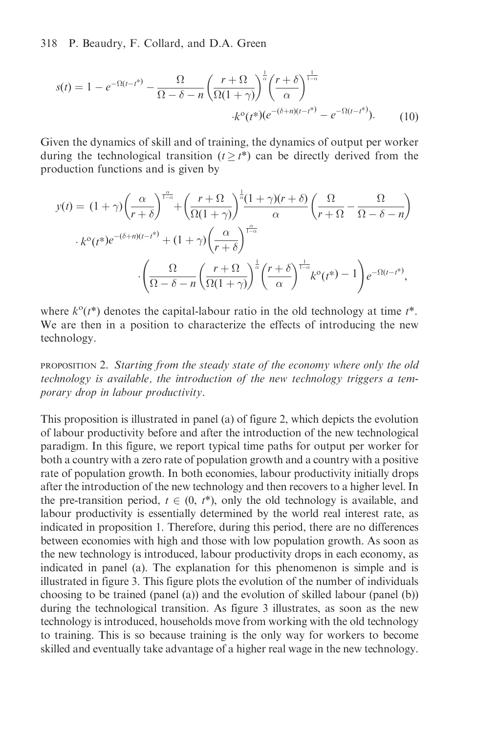318 P. Beaudry, F. Collard, and D.A. Green

$$
s(t) = 1 - e^{-\Omega(t - t^{*})} - \frac{\Omega}{\Omega - \delta - n} \left(\frac{r + \Omega}{\Omega(1 + \gamma)}\right)^{\frac{1}{\alpha}} \left(\frac{r + \delta}{\alpha}\right)^{\frac{1}{1 - \alpha}}
$$
  
 
$$
k^{\circ}(t^{*})(e^{-(\delta + n)(t - t^{*})} - e^{-\Omega(t - t^{*})}). \tag{10}
$$

Given the dynamics of skill and of training, the dynamics of output per worker during the technological transition  $(t \geq t^*)$  can be directly derived from the production functions and is given by

$$
y(t) = (1+\gamma)\left(\frac{\alpha}{r+\delta}\right)^{\frac{\alpha}{1-\alpha}} + \left(\frac{r+\Omega}{\Omega(1+\gamma)}\right)^{\frac{1}{\alpha}} \frac{(1+\gamma)(r+\delta)}{\alpha} \left(\frac{\Omega}{r+\Omega} - \frac{\Omega}{\Omega - \delta - n}\right)
$$

$$
\cdot k^{\circ}(t^{*})e^{-(\delta+n)(t-t^{*})} + (1+\gamma)\left(\frac{\alpha}{r+\delta}\right)^{\frac{\alpha}{1-\alpha}}
$$

$$
\cdot \left(\frac{\Omega}{\Omega - \delta - n} \left(\frac{r+\Omega}{\Omega(1+\gamma)}\right)^{\frac{1}{\alpha}} \left(\frac{r+\delta}{\alpha}\right)^{\frac{1}{1-\alpha}} k^{\circ}(t^{*}) - 1\right) e^{-\Omega(t-t^{*})},
$$

where  $k^{\circ}(t^*)$  denotes the capital-labour ratio in the old technology at time  $t^*$ . We are then in a position to characterize the effects of introducing the new technology.

PROPOSITION 2. Starting from the steady state of the economy where only the old technology is available, the introduction of the new technology triggers a temporary drop in labour productivity.

This proposition is illustrated in panel (a) of figure 2, which depicts the evolution of labour productivity before and after the introduction of the new technological paradigm. In this figure, we report typical time paths for output per worker for both a country with a zero rate of population growth and a country with a positive rate of population growth. In both economies, labour productivity initially drops after the introduction of the new technology and then recovers to a higher level. In the pre-transition period,  $t \in (0, t^*)$ , only the old technology is available, and labour productivity is essentially determined by the world real interest rate, as indicated in proposition 1. Therefore, during this period, there are no differences between economies with high and those with low population growth. As soon as the new technology is introduced, labour productivity drops in each economy, as indicated in panel (a). The explanation for this phenomenon is simple and is illustrated in figure 3. This figure plots the evolution of the number of individuals choosing to be trained (panel (a)) and the evolution of skilled labour (panel (b)) during the technological transition. As figure 3 illustrates, as soon as the new technology is introduced, households move from working with the old technology to training. This is so because training is the only way for workers to become skilled and eventually take advantage of a higher real wage in the new technology.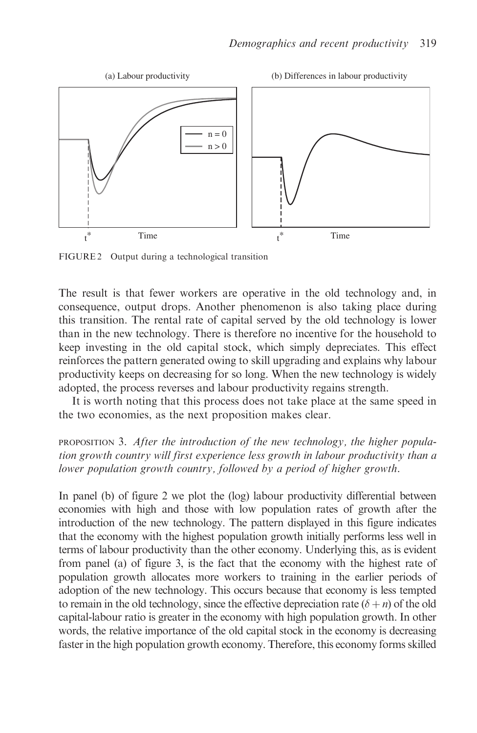

FIGURE 2 Output during a technological transition

The result is that fewer workers are operative in the old technology and, in consequence, output drops. Another phenomenon is also taking place during this transition. The rental rate of capital served by the old technology is lower than in the new technology. There is therefore no incentive for the household to keep investing in the old capital stock, which simply depreciates. This effect reinforces the pattern generated owing to skill upgrading and explains why labour productivity keeps on decreasing for so long. When the new technology is widely adopted, the process reverses and labour productivity regains strength.

It is worth noting that this process does not take place at the same speed in the two economies, as the next proposition makes clear.

PROPOSITION 3. After the introduction of the new technology, the higher population growth country will first experience less growth in labour productivity than a lower population growth country, followed by a period of higher growth.

In panel (b) of figure 2 we plot the (log) labour productivity differential between economies with high and those with low population rates of growth after the introduction of the new technology. The pattern displayed in this figure indicates that the economy with the highest population growth initially performs less well in terms of labour productivity than the other economy. Underlying this, as is evident from panel (a) of figure 3, is the fact that the economy with the highest rate of population growth allocates more workers to training in the earlier periods of adoption of the new technology. This occurs because that economy is less tempted to remain in the old technology, since the effective depreciation rate  $(\delta + n)$  of the old capital-labour ratio is greater in the economy with high population growth. In other words, the relative importance of the old capital stock in the economy is decreasing faster in the high population growth economy. Therefore, this economy forms skilled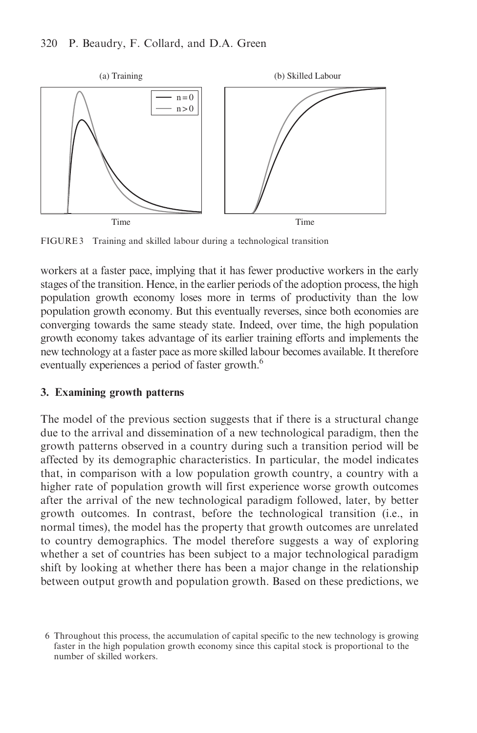

FIGURE 3 Training and skilled labour during a technological transition

workers at a faster pace, implying that it has fewer productive workers in the early stages of the transition. Hence, in the earlier periods of the adoption process, the high population growth economy loses more in terms of productivity than the low population growth economy. But this eventually reverses, since both economies are converging towards the same steady state. Indeed, over time, the high population growth economy takes advantage of its earlier training efforts and implements the new technology at a faster pace as more skilled labour becomes available. It therefore eventually experiences a period of faster growth.<sup>6</sup>

# 3. Examining growth patterns

The model of the previous section suggests that if there is a structural change due to the arrival and dissemination of a new technological paradigm, then the growth patterns observed in a country during such a transition period will be affected by its demographic characteristics. In particular, the model indicates that, in comparison with a low population growth country, a country with a higher rate of population growth will first experience worse growth outcomes after the arrival of the new technological paradigm followed, later, by better growth outcomes. In contrast, before the technological transition (i.e., in normal times), the model has the property that growth outcomes are unrelated to country demographics. The model therefore suggests a way of exploring whether a set of countries has been subject to a major technological paradigm shift by looking at whether there has been a major change in the relationship between output growth and population growth. Based on these predictions, we

<sup>6</sup> Throughout this process, the accumulation of capital specific to the new technology is growing faster in the high population growth economy since this capital stock is proportional to the number of skilled workers.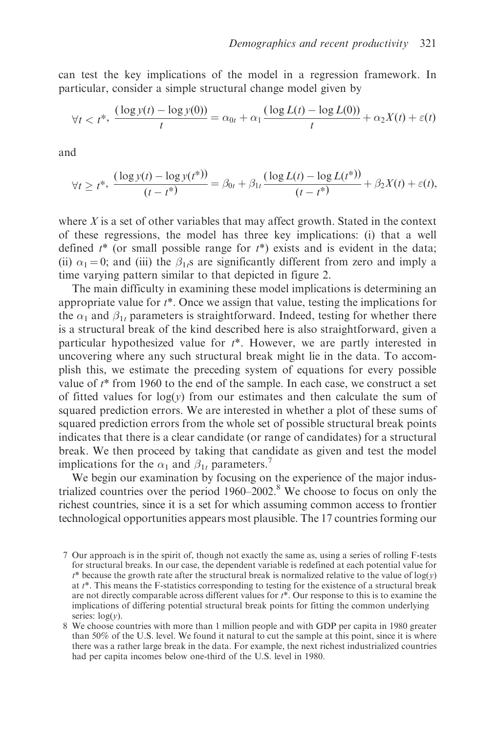can test the key implications of the model in a regression framework. In particular, consider a simple structural change model given by

$$
\forall t < t^*, \ \frac{(\log y(t) - \log y(0))}{t} = \alpha_{0t} + \alpha_1 \frac{(\log L(t) - \log L(0))}{t} + \alpha_2 X(t) + \varepsilon(t)
$$

and

$$
\forall t \geq t^*, \ \frac{(\log y(t) - \log y(t^*))}{(t - t^*)} = \beta_{0t} + \beta_{1t} \frac{(\log L(t) - \log L(t^*))}{(t - t^*)} + \beta_2 X(t) + \varepsilon(t),
$$

where  $X$  is a set of other variables that may affect growth. Stated in the context of these regressions, the model has three key implications: (i) that a well defined  $t^*$  (or small possible range for  $t^*$ ) exists and is evident in the data; (ii)  $\alpha_1 = 0$ ; and (iii) the  $\beta_{1t}$ s are significantly different from zero and imply a time varying pattern similar to that depicted in figure 2.

The main difficulty in examining these model implications is determining an appropriate value for  $t^*$ . Once we assign that value, testing the implications for the  $\alpha_1$  and  $\beta_1$  parameters is straightforward. Indeed, testing for whether there is a structural break of the kind described here is also straightforward, given a particular hypothesized value for  $t^*$ . However, we are partly interested in uncovering where any such structural break might lie in the data. To accomplish this, we estimate the preceding system of equations for every possible value of  $t^*$  from 1960 to the end of the sample. In each case, we construct a set of fitted values for  $log(y)$  from our estimates and then calculate the sum of squared prediction errors. We are interested in whether a plot of these sums of squared prediction errors from the whole set of possible structural break points indicates that there is a clear candidate (or range of candidates) for a structural break. We then proceed by taking that candidate as given and test the model implications for the  $\alpha_1$  and  $\beta_{1t}$  parameters.<sup>7</sup>

We begin our examination by focusing on the experience of the major industrialized countries over the period  $1960-2002$ .<sup>8</sup> We choose to focus on only the richest countries, since it is a set for which assuming common access to frontier technological opportunities appears most plausible. The 17 countries forming our

<sup>7</sup> Our approach is in the spirit of, though not exactly the same as, using a series of rolling F-tests for structural breaks. In our case, the dependent variable is redefined at each potential value for  $t^*$  because the growth rate after the structural break is normalized relative to the value of  $log(y)$ at t\*. This means the F-statistics corresponding to testing for the existence of a structural break are not directly comparable across different values for  $t^*$ . Our response to this is to examine the implications of differing potential structural break points for fitting the common underlying series:  $log(v)$ .

<sup>8</sup> We choose countries with more than 1 million people and with GDP per capita in 1980 greater than 50% of the U.S. level. We found it natural to cut the sample at this point, since it is where there was a rather large break in the data. For example, the next richest industrialized countries had per capita incomes below one-third of the U.S. level in 1980.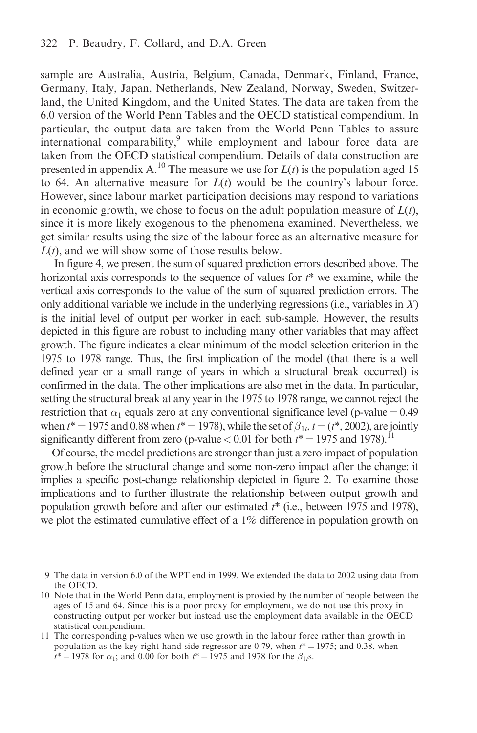sample are Australia, Austria, Belgium, Canada, Denmark, Finland, France, Germany, Italy, Japan, Netherlands, New Zealand, Norway, Sweden, Switzerland, the United Kingdom, and the United States. The data are taken from the 6.0 version of the World Penn Tables and the OECD statistical compendium. In particular, the output data are taken from the World Penn Tables to assure international comparability,<sup>9</sup> while employment and labour force data are taken from the OECD statistical compendium. Details of data construction are presented in appendix A.<sup>10</sup> The measure we use for  $L(t)$  is the population aged 15 to 64. An alternative measure for  $L(t)$  would be the country's labour force. However, since labour market participation decisions may respond to variations in economic growth, we chose to focus on the adult population measure of  $L(t)$ , since it is more likely exogenous to the phenomena examined. Nevertheless, we get similar results using the size of the labour force as an alternative measure for  $L(t)$ , and we will show some of those results below.

In figure 4, we present the sum of squared prediction errors described above. The horizontal axis corresponds to the sequence of values for  $t^*$  we examine, while the vertical axis corresponds to the value of the sum of squared prediction errors. The only additional variable we include in the underlying regressions (i.e., variables in  $X$ ) is the initial level of output per worker in each sub-sample. However, the results depicted in this figure are robust to including many other variables that may affect growth. The figure indicates a clear minimum of the model selection criterion in the 1975 to 1978 range. Thus, the first implication of the model (that there is a well defined year or a small range of years in which a structural break occurred) is confirmed in the data. The other implications are also met in the data. In particular, setting the structural break at any year in the 1975 to 1978 range, we cannot reject the restriction that  $\alpha_1$  equals zero at any conventional significance level (p-value = 0.49) when  $t^* = 1975$  and 0.88 when  $t^* = 1978$ ), while the set of  $\beta_{1t}$ ,  $t = (t^*, 2002)$ , are jointly significantly different from zero (p-value  $< 0.01$  for both  $t^* = 1975$  and 1978).<sup>11</sup>

Of course, the model predictions are stronger than just a zero impact of population growth before the structural change and some non-zero impact after the change: it implies a specific post-change relationship depicted in figure 2. To examine those implications and to further illustrate the relationship between output growth and population growth before and after our estimated  $t^*$  (i.e., between 1975 and 1978), we plot the estimated cumulative effect of a 1% difference in population growth on

- 9 The data in version 6.0 of the WPT end in 1999. We extended the data to 2002 using data from the OECD.
- 10 Note that in the World Penn data, employment is proxied by the number of people between the ages of 15 and 64. Since this is a poor proxy for employment, we do not use this proxy in constructing output per worker but instead use the employment data available in the OECD statistical compendium.
- 11 The corresponding p-values when we use growth in the labour force rather than growth in population as the key right-hand-side regressor are 0.79, when  $t^* = 1975$ ; and 0.38, when  $t^* = 1978$  for  $\alpha_1$ ; and 0.00 for both  $t^* = 1975$  and 1978 for the  $\beta_{1.5}$ .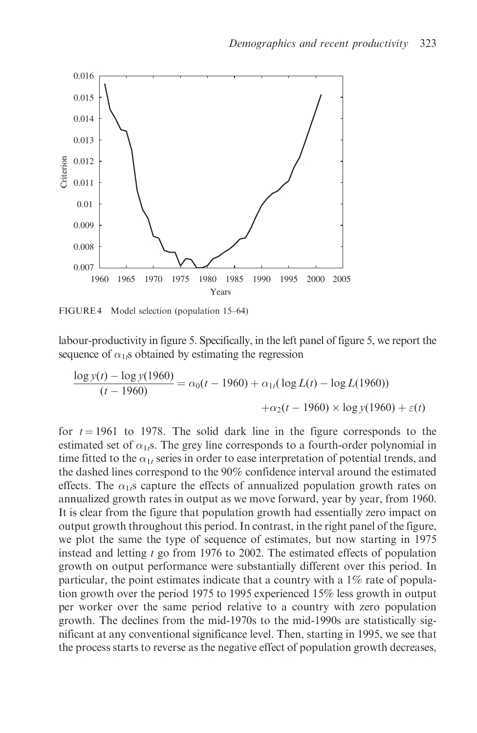

FIGURE 4 Model selection (population 15–64)

labour-productivity in figure 5. Specifically, in the left panel of figure 5, we report the sequence of  $\alpha_{1t}$ s obtained by estimating the regression

$$
\frac{\log y(t) - \log y(1960)}{(t - 1960)} = \alpha_0(t - 1960) + \alpha_{1t}(\log L(t) - \log L(1960))
$$

$$
+ \alpha_2(t - 1960) \times \log y(1960) + \varepsilon(t)
$$

for  $t = 1961$  to 1978. The solid dark line in the figure corresponds to the estimated set of  $\alpha_{1t}$ s. The grey line corresponds to a fourth-order polynomial in time fitted to the  $\alpha_{1t}$  series in order to ease interpretation of potential trends, and the dashed lines correspond to the 90% confidence interval around the estimated effects. The  $\alpha_{1t}$ s capture the effects of annualized population growth rates on annualized growth rates in output as we move forward, year by year, from 1960. It is clear from the figure that population growth had essentially zero impact on output growth throughout this period. In contrast, in the right panel of the figure, we plot the same the type of sequence of estimates, but now starting in 1975 instead and letting  $t$  go from 1976 to 2002. The estimated effects of population growth on output performance were substantially different over this period. In particular, the point estimates indicate that a country with a 1% rate of population growth over the period 1975 to 1995 experienced 15% less growth in output per worker over the same period relative to a country with zero population growth. The declines from the mid-1970s to the mid-1990s are statistically significant at any conventional significance level. Then, starting in 1995, we see that the process starts to reverse as the negative effect of population growth decreases,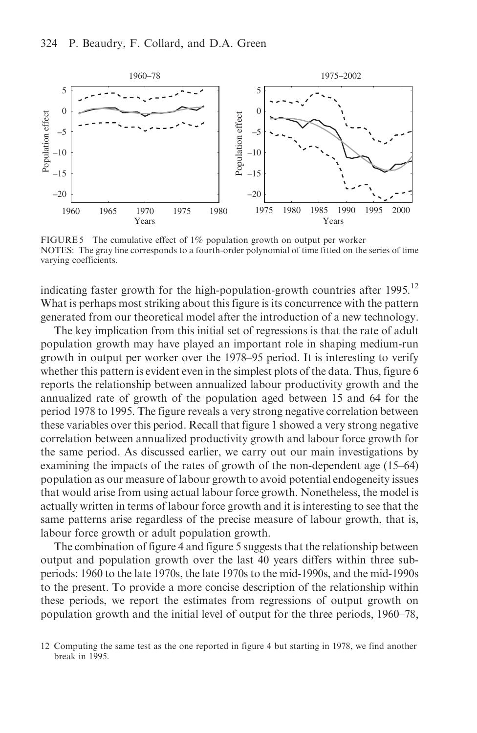

FIGURE 5 The cumulative effect of 1% population growth on output per worker NOTES: The gray line corresponds to a fourth-order polynomial of time fitted on the series of time varying coefficients.

indicating faster growth for the high-population-growth countries after 1995.<sup>12</sup> What is perhaps most striking about this figure is its concurrence with the pattern generated from our theoretical model after the introduction of a new technology.

The key implication from this initial set of regressions is that the rate of adult population growth may have played an important role in shaping medium-run growth in output per worker over the 1978–95 period. It is interesting to verify whether this pattern is evident even in the simplest plots of the data. Thus, figure 6 reports the relationship between annualized labour productivity growth and the annualized rate of growth of the population aged between 15 and 64 for the period 1978 to 1995. The figure reveals a very strong negative correlation between these variables over this period. Recall that figure 1 showed a very strong negative correlation between annualized productivity growth and labour force growth for the same period. As discussed earlier, we carry out our main investigations by examining the impacts of the rates of growth of the non-dependent age (15–64) population as our measure of labour growth to avoid potential endogeneity issues that would arise from using actual labour force growth. Nonetheless, the model is actually written in terms of labour force growth and it is interesting to see that the same patterns arise regardless of the precise measure of labour growth, that is, labour force growth or adult population growth.

The combination of figure 4 and figure 5 suggests that the relationship between output and population growth over the last 40 years differs within three subperiods: 1960 to the late 1970s, the late 1970s to the mid-1990s, and the mid-1990s to the present. To provide a more concise description of the relationship within these periods, we report the estimates from regressions of output growth on population growth and the initial level of output for the three periods, 1960–78,

<sup>12</sup> Computing the same test as the one reported in figure 4 but starting in 1978, we find another break in 1995.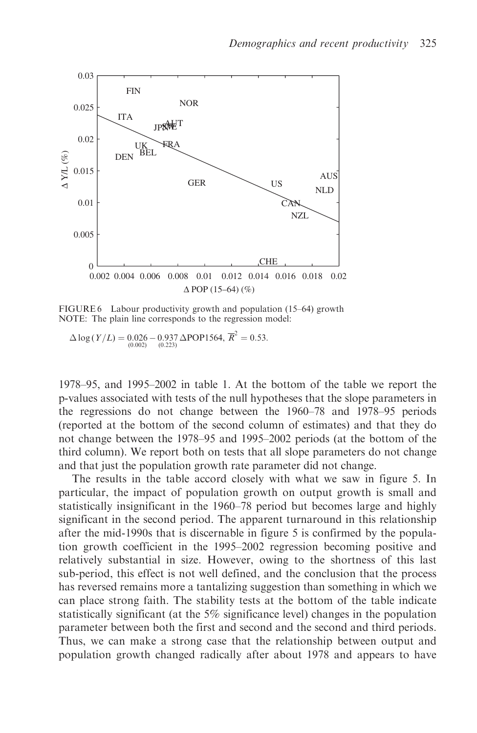

FIGURE 6 Labour productivity growth and population (15–64) growth NOTE: The plain line corresponds to the regression model:

 $\Delta \log (Y/L) = 0.026 - 0.937 \Delta \text{POP1564}, \overline{R}^2 = 0.53.$ 

1978–95, and 1995–2002 in table 1. At the bottom of the table we report the p-values associated with tests of the null hypotheses that the slope parameters in the regressions do not change between the 1960–78 and 1978–95 periods (reported at the bottom of the second column of estimates) and that they do not change between the 1978–95 and 1995–2002 periods (at the bottom of the third column). We report both on tests that all slope parameters do not change and that just the population growth rate parameter did not change.

The results in the table accord closely with what we saw in figure 5. In particular, the impact of population growth on output growth is small and statistically insignificant in the 1960–78 period but becomes large and highly significant in the second period. The apparent turnaround in this relationship after the mid-1990s that is discernable in figure 5 is confirmed by the population growth coefficient in the 1995–2002 regression becoming positive and relatively substantial in size. However, owing to the shortness of this last sub-period, this effect is not well defined, and the conclusion that the process has reversed remains more a tantalizing suggestion than something in which we can place strong faith. The stability tests at the bottom of the table indicate statistically significant (at the 5% significance level) changes in the population parameter between both the first and second and the second and third periods. Thus, we can make a strong case that the relationship between output and population growth changed radically after about 1978 and appears to have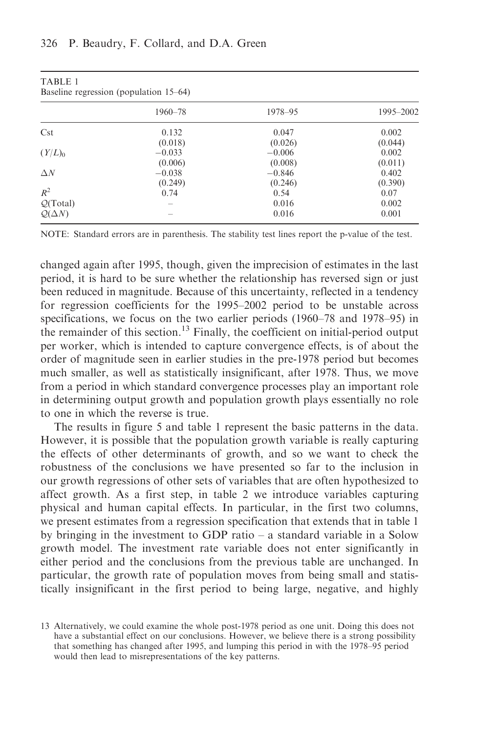|                         | and the state of the state of the state of the state of the state of the state of the state of the state of the |          |           |
|-------------------------|-----------------------------------------------------------------------------------------------------------------|----------|-----------|
|                         | 1960–78                                                                                                         | 1978-95  | 1995-2002 |
| Cst                     | 0.132                                                                                                           | 0.047    | 0.002     |
|                         | (0.018)                                                                                                         | (0.026)  | (0.044)   |
| $(Y/L)_0$               | $-0.033$                                                                                                        | $-0.006$ | 0.002     |
|                         | (0.006)                                                                                                         | (0.008)  | (0.011)   |
| $\Delta N$              | $-0.038$                                                                                                        | $-0.846$ | 0.402     |
|                         | (0.249)                                                                                                         | (0.246)  | (0.390)   |
| $R^2$                   | 0.74                                                                                                            | 0.54     | 0.07      |
| Q(Total)                |                                                                                                                 | 0.016    | 0.002     |
| $\mathcal{Q}(\Delta N)$ |                                                                                                                 | 0.016    | 0.001     |

| TABLE 1 |                                        |  |
|---------|----------------------------------------|--|
|         | Baseline regression (population 15–64) |  |

NOTE: Standard errors are in parenthesis. The stability test lines report the p-value of the test.

changed again after 1995, though, given the imprecision of estimates in the last period, it is hard to be sure whether the relationship has reversed sign or just been reduced in magnitude. Because of this uncertainty, reflected in a tendency for regression coefficients for the 1995–2002 period to be unstable across specifications, we focus on the two earlier periods (1960–78 and 1978–95) in the remainder of this section.13 Finally, the coefficient on initial-period output per worker, which is intended to capture convergence effects, is of about the order of magnitude seen in earlier studies in the pre-1978 period but becomes much smaller, as well as statistically insignificant, after 1978. Thus, we move from a period in which standard convergence processes play an important role in determining output growth and population growth plays essentially no role to one in which the reverse is true.

The results in figure 5 and table 1 represent the basic patterns in the data. However, it is possible that the population growth variable is really capturing the effects of other determinants of growth, and so we want to check the robustness of the conclusions we have presented so far to the inclusion in our growth regressions of other sets of variables that are often hypothesized to affect growth. As a first step, in table 2 we introduce variables capturing physical and human capital effects. In particular, in the first two columns, we present estimates from a regression specification that extends that in table 1 by bringing in the investment to GDP ratio – a standard variable in a Solow growth model. The investment rate variable does not enter significantly in either period and the conclusions from the previous table are unchanged. In particular, the growth rate of population moves from being small and statistically insignificant in the first period to being large, negative, and highly

<sup>13</sup> Alternatively, we could examine the whole post-1978 period as one unit. Doing this does not have a substantial effect on our conclusions. However, we believe there is a strong possibility that something has changed after 1995, and lumping this period in with the 1978–95 period would then lead to misrepresentations of the key patterns.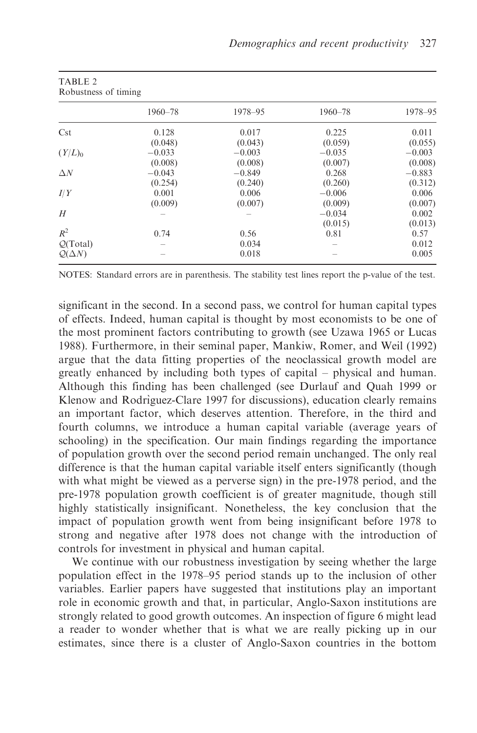| 1ADLEZ<br>Robustness of timing |          |          |             |          |  |  |
|--------------------------------|----------|----------|-------------|----------|--|--|
|                                | 1960-78  | 1978-95  | $1960 - 78$ | 1978-95  |  |  |
| Cst                            | 0.128    | 0.017    | 0.225       | 0.011    |  |  |
|                                | (0.048)  | (0.043)  | (0.059)     | (0.055)  |  |  |
| $(Y/L)_0$                      | $-0.033$ | $-0.003$ | $-0.035$    | $-0.003$ |  |  |
|                                | (0.008)  | (0.008)  | (0.007)     | (0.008)  |  |  |
| $\Delta N$                     | $-0.043$ | $-0.849$ | 0.268       | $-0.883$ |  |  |
|                                | (0.254)  | (0.240)  | (0.260)     | (0.312)  |  |  |
| I/Y                            | 0.001    | 0.006    | $-0.006$    | 0.006    |  |  |
|                                | (0.009)  | (0.007)  | (0.009)     | (0.007)  |  |  |
| H                              |          |          | $-0.034$    | 0.002    |  |  |
|                                |          |          | (0.015)     | (0.013)  |  |  |
| $R^2$                          | 0.74     | 0.56     | 0.81        | 0.57     |  |  |
| Q(Total)                       |          | 0.034    |             | 0.012    |  |  |
| $\mathcal{Q}(\Delta N)$        |          | 0.018    |             | 0.005    |  |  |

| <b>TABLE 2</b>       |  |  |
|----------------------|--|--|
| Robustness of timing |  |  |

NOTES: Standard errors are in parenthesis. The stability test lines report the p-value of the test.

significant in the second. In a second pass, we control for human capital types of effects. Indeed, human capital is thought by most economists to be one of the most prominent factors contributing to growth (see Uzawa 1965 or Lucas 1988). Furthermore, in their seminal paper, Mankiw, Romer, and Weil (1992) argue that the data fitting properties of the neoclassical growth model are greatly enhanced by including both types of capital – physical and human. Although this finding has been challenged (see Durlauf and Quah 1999 or Klenow and Rodriguez-Clare 1997 for discussions), education clearly remains an important factor, which deserves attention. Therefore, in the third and fourth columns, we introduce a human capital variable (average years of schooling) in the specification. Our main findings regarding the importance of population growth over the second period remain unchanged. The only real difference is that the human capital variable itself enters significantly (though with what might be viewed as a perverse sign) in the pre-1978 period, and the pre-1978 population growth coefficient is of greater magnitude, though still highly statistically insignificant. Nonetheless, the key conclusion that the impact of population growth went from being insignificant before 1978 to strong and negative after 1978 does not change with the introduction of controls for investment in physical and human capital.

We continue with our robustness investigation by seeing whether the large population effect in the 1978–95 period stands up to the inclusion of other variables. Earlier papers have suggested that institutions play an important role in economic growth and that, in particular, Anglo-Saxon institutions are strongly related to good growth outcomes. An inspection of figure 6 might lead a reader to wonder whether that is what we are really picking up in our estimates, since there is a cluster of Anglo-Saxon countries in the bottom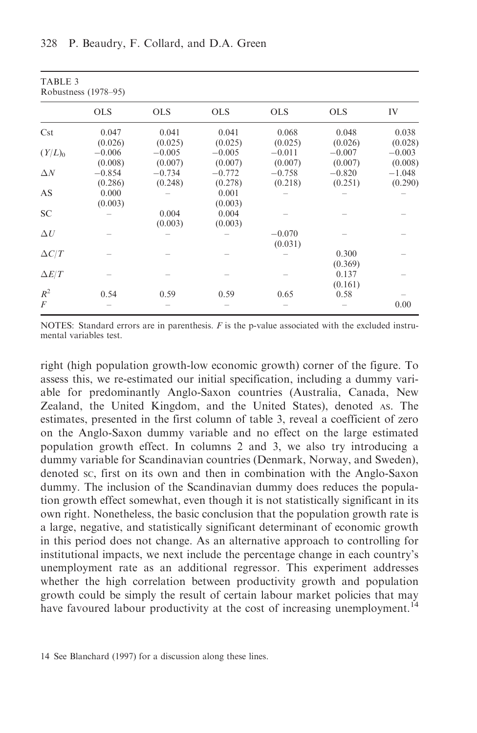| TABLE 3<br>Robustness (1978–95) |                     |                     |                     |                     |                     |                     |
|---------------------------------|---------------------|---------------------|---------------------|---------------------|---------------------|---------------------|
|                                 | <b>OLS</b>          | <b>OLS</b>          | <b>OLS</b>          | <b>OLS</b>          | <b>OLS</b>          | IV                  |
| Cst                             | 0.047<br>(0.026)    | 0.041<br>(0.025)    | 0.041<br>(0.025)    | 0.068<br>(0.025)    | 0.048<br>(0.026)    | 0.038<br>(0.028)    |
| $(Y/L)_0$                       | $-0.006$<br>(0.008) | $-0.005$<br>(0.007) | $-0.005$<br>(0.007) | $-0.011$<br>(0.007) | $-0.007$<br>(0.007) | $-0.003$<br>(0.008) |
| $\Delta N$                      | $-0.854$<br>(0.286) | $-0.734$<br>(0.248) | $-0.772$<br>(0.278) | $-0.758$<br>(0.218) | $-0.820$<br>(0.251) | $-1.048$<br>(0.290) |
| AS                              | 0.000<br>(0.003)    |                     | 0.001<br>(0.003)    |                     |                     |                     |
| <b>SC</b>                       |                     | 0.004<br>(0.003)    | 0.004<br>(0.003)    |                     |                     |                     |
| $\Delta U$                      |                     |                     |                     | $-0.070$<br>(0.031) |                     |                     |
| $\Delta C/T$                    |                     |                     |                     |                     | 0.300<br>(0.369)    |                     |
| $\Delta E/T$                    |                     |                     |                     |                     | 0.137<br>(0.161)    |                     |
| $R^2$<br>$\overline{F}$         | 0.54                | 0.59                | 0.59                | 0.65                | 0.58                | 0.00                |

NOTES: Standard errors are in parenthesis.  $F$  is the p-value associated with the excluded instrumental variables test.

right (high population growth-low economic growth) corner of the figure. To assess this, we re-estimated our initial specification, including a dummy variable for predominantly Anglo-Saxon countries (Australia, Canada, New Zealand, the United Kingdom, and the United States), denoted AS. The estimates, presented in the first column of table 3, reveal a coefficient of zero on the Anglo-Saxon dummy variable and no effect on the large estimated population growth effect. In columns 2 and 3, we also try introducing a dummy variable for Scandinavian countries (Denmark, Norway, and Sweden), denoted SC, first on its own and then in combination with the Anglo-Saxon dummy. The inclusion of the Scandinavian dummy does reduces the population growth effect somewhat, even though it is not statistically significant in its own right. Nonetheless, the basic conclusion that the population growth rate is a large, negative, and statistically significant determinant of economic growth in this period does not change. As an alternative approach to controlling for institutional impacts, we next include the percentage change in each country's unemployment rate as an additional regressor. This experiment addresses whether the high correlation between productivity growth and population growth could be simply the result of certain labour market policies that may have favoured labour productivity at the cost of increasing unemployment.<sup>14</sup>

<sup>14</sup> See Blanchard (1997) for a discussion along these lines.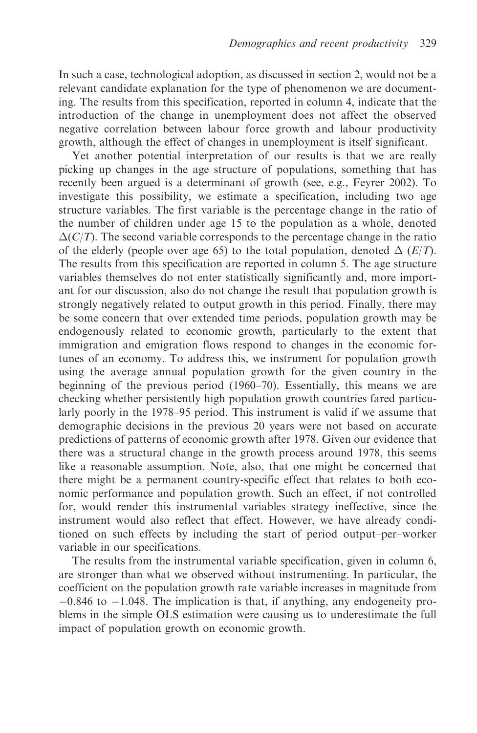In such a case, technological adoption, as discussed in section 2, would not be a relevant candidate explanation for the type of phenomenon we are documenting. The results from this specification, reported in column 4, indicate that the introduction of the change in unemployment does not affect the observed negative correlation between labour force growth and labour productivity growth, although the effect of changes in unemployment is itself significant.

Yet another potential interpretation of our results is that we are really picking up changes in the age structure of populations, something that has recently been argued is a determinant of growth (see, e.g., Feyrer 2002). To investigate this possibility, we estimate a specification, including two age structure variables. The first variable is the percentage change in the ratio of the number of children under age 15 to the population as a whole, denoted  $\Delta(C/T)$ . The second variable corresponds to the percentage change in the ratio of the elderly (people over age 65) to the total population, denoted  $\Delta$  (E/T). The results from this specification are reported in column 5. The age structure variables themselves do not enter statistically significantly and, more important for our discussion, also do not change the result that population growth is strongly negatively related to output growth in this period. Finally, there may be some concern that over extended time periods, population growth may be endogenously related to economic growth, particularly to the extent that immigration and emigration flows respond to changes in the economic fortunes of an economy. To address this, we instrument for population growth using the average annual population growth for the given country in the beginning of the previous period (1960–70). Essentially, this means we are checking whether persistently high population growth countries fared particularly poorly in the 1978–95 period. This instrument is valid if we assume that demographic decisions in the previous 20 years were not based on accurate predictions of patterns of economic growth after 1978. Given our evidence that there was a structural change in the growth process around 1978, this seems like a reasonable assumption. Note, also, that one might be concerned that there might be a permanent country-specific effect that relates to both economic performance and population growth. Such an effect, if not controlled for, would render this instrumental variables strategy ineffective, since the instrument would also reflect that effect. However, we have already conditioned on such effects by including the start of period output–per–worker variable in our specifications.

The results from the instrumental variable specification, given in column 6, are stronger than what we observed without instrumenting. In particular, the coefficient on the population growth rate variable increases in magnitude from  $-0.846$  to  $-1.048$ . The implication is that, if anything, any endogeneity problems in the simple OLS estimation were causing us to underestimate the full impact of population growth on economic growth.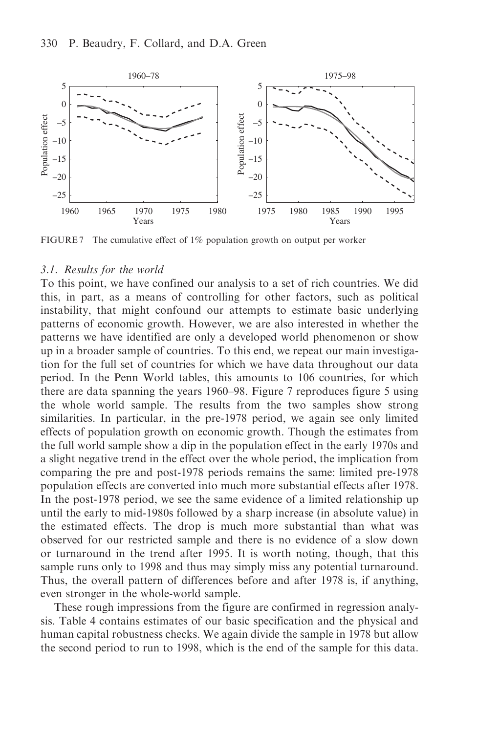

FIGURE 7 The cumulative effect of  $1\%$  population growth on output per worker

#### 3.1. Results for the world

To this point, we have confined our analysis to a set of rich countries. We did this, in part, as a means of controlling for other factors, such as political instability, that might confound our attempts to estimate basic underlying patterns of economic growth. However, we are also interested in whether the patterns we have identified are only a developed world phenomenon or show up in a broader sample of countries. To this end, we repeat our main investigation for the full set of countries for which we have data throughout our data period. In the Penn World tables, this amounts to 106 countries, for which there are data spanning the years 1960–98. Figure 7 reproduces figure 5 using the whole world sample. The results from the two samples show strong similarities. In particular, in the pre-1978 period, we again see only limited effects of population growth on economic growth. Though the estimates from the full world sample show a dip in the population effect in the early 1970s and a slight negative trend in the effect over the whole period, the implication from comparing the pre and post-1978 periods remains the same: limited pre-1978 population effects are converted into much more substantial effects after 1978. In the post-1978 period, we see the same evidence of a limited relationship up until the early to mid-1980s followed by a sharp increase (in absolute value) in the estimated effects. The drop is much more substantial than what was observed for our restricted sample and there is no evidence of a slow down or turnaround in the trend after 1995. It is worth noting, though, that this sample runs only to 1998 and thus may simply miss any potential turnaround. Thus, the overall pattern of differences before and after 1978 is, if anything, even stronger in the whole-world sample.

These rough impressions from the figure are confirmed in regression analysis. Table 4 contains estimates of our basic specification and the physical and human capital robustness checks. We again divide the sample in 1978 but allow the second period to run to 1998, which is the end of the sample for this data.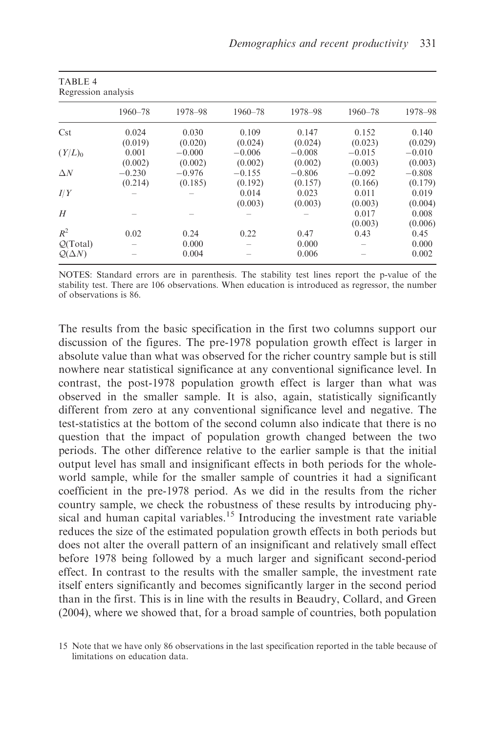| TABLE 4<br>Regression analysis |                     |                     |                     |                     |                     |                     |
|--------------------------------|---------------------|---------------------|---------------------|---------------------|---------------------|---------------------|
|                                | 1960-78             | 1978-98             | $1960 - 78$         | 1978-98             | $1960 - 78$         | 1978-98             |
| Cst                            | 0.024<br>(0.019)    | 0.030<br>(0.020)    | 0.109<br>(0.024)    | 0.147<br>(0.024)    | 0.152<br>(0.023)    | 0.140<br>(0.029)    |
| $(Y/L)_0$                      | 0.001<br>(0.002)    | $-0.000$<br>(0.002) | $-0.006$<br>(0.002) | $-0.008$<br>(0.002) | $-0.015$<br>(0.003) | $-0.010$<br>(0.003) |
| $\Delta N$                     | $-0.230$<br>(0.214) | $-0.976$<br>(0.185) | $-0.155$<br>(0.192) | $-0.806$<br>(0.157) | $-0.092$<br>(0.166) | $-0.808$<br>(0.179) |
| I/Y                            |                     |                     | 0.014<br>(0.003)    | 0.023<br>(0.003)    | 0.011<br>(0.003)    | 0.019<br>(0.004)    |
| H                              |                     |                     |                     |                     | 0.017<br>(0.003)    | 0.008<br>(0.006)    |
| $R^2$<br>Q(Total)              | 0.02                | 0.24<br>0.000       | 0.22                | 0.47<br>0.000       | 0.43                | 0.45<br>0.000       |
| $\mathcal{Q}(\Delta N)$        |                     | 0.004               |                     | 0.006               |                     | 0.002               |

NOTES: Standard errors are in parenthesis. The stability test lines report the p-value of the stability test. There are 106 observations. When education is introduced as regressor, the number of observations is 86.

The results from the basic specification in the first two columns support our discussion of the figures. The pre-1978 population growth effect is larger in absolute value than what was observed for the richer country sample but is still nowhere near statistical significance at any conventional significance level. In contrast, the post-1978 population growth effect is larger than what was observed in the smaller sample. It is also, again, statistically significantly different from zero at any conventional significance level and negative. The test-statistics at the bottom of the second column also indicate that there is no question that the impact of population growth changed between the two periods. The other difference relative to the earlier sample is that the initial output level has small and insignificant effects in both periods for the wholeworld sample, while for the smaller sample of countries it had a significant coefficient in the pre-1978 period. As we did in the results from the richer country sample, we check the robustness of these results by introducing physical and human capital variables.<sup>15</sup> Introducing the investment rate variable reduces the size of the estimated population growth effects in both periods but does not alter the overall pattern of an insignificant and relatively small effect before 1978 being followed by a much larger and significant second-period effect. In contrast to the results with the smaller sample, the investment rate itself enters significantly and becomes significantly larger in the second period than in the first. This is in line with the results in Beaudry, Collard, and Green (2004), where we showed that, for a broad sample of countries, both population

<sup>15</sup> Note that we have only 86 observations in the last specification reported in the table because of limitations on education data.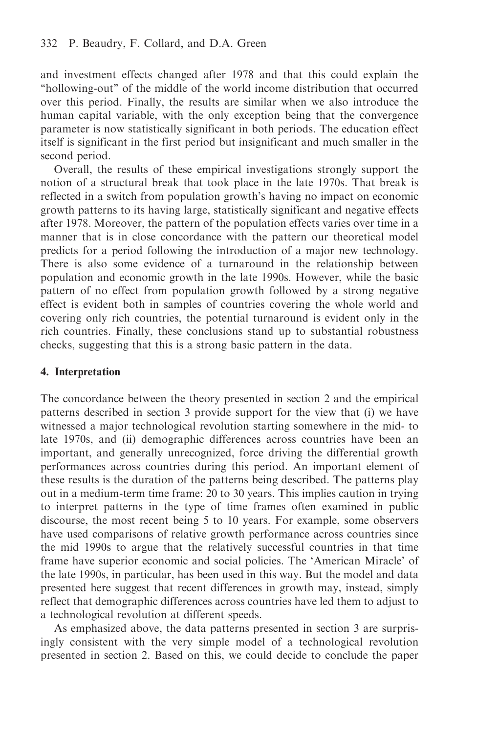and investment effects changed after 1978 and that this could explain the ''hollowing-out'' of the middle of the world income distribution that occurred over this period. Finally, the results are similar when we also introduce the human capital variable, with the only exception being that the convergence parameter is now statistically significant in both periods. The education effect itself is significant in the first period but insignificant and much smaller in the second period.

Overall, the results of these empirical investigations strongly support the notion of a structural break that took place in the late 1970s. That break is reflected in a switch from population growth's having no impact on economic growth patterns to its having large, statistically significant and negative effects after 1978. Moreover, the pattern of the population effects varies over time in a manner that is in close concordance with the pattern our theoretical model predicts for a period following the introduction of a major new technology. There is also some evidence of a turnaround in the relationship between population and economic growth in the late 1990s. However, while the basic pattern of no effect from population growth followed by a strong negative effect is evident both in samples of countries covering the whole world and covering only rich countries, the potential turnaround is evident only in the rich countries. Finally, these conclusions stand up to substantial robustness checks, suggesting that this is a strong basic pattern in the data.

# 4. Interpretation

The concordance between the theory presented in section 2 and the empirical patterns described in section 3 provide support for the view that (i) we have witnessed a major technological revolution starting somewhere in the mid- to late 1970s, and (ii) demographic differences across countries have been an important, and generally unrecognized, force driving the differential growth performances across countries during this period. An important element of these results is the duration of the patterns being described. The patterns play out in a medium-term time frame: 20 to 30 years. This implies caution in trying to interpret patterns in the type of time frames often examined in public discourse, the most recent being 5 to 10 years. For example, some observers have used comparisons of relative growth performance across countries since the mid 1990s to argue that the relatively successful countries in that time frame have superior economic and social policies. The 'American Miracle' of the late 1990s, in particular, has been used in this way. But the model and data presented here suggest that recent differences in growth may, instead, simply reflect that demographic differences across countries have led them to adjust to a technological revolution at different speeds.

As emphasized above, the data patterns presented in section 3 are surprisingly consistent with the very simple model of a technological revolution presented in section 2. Based on this, we could decide to conclude the paper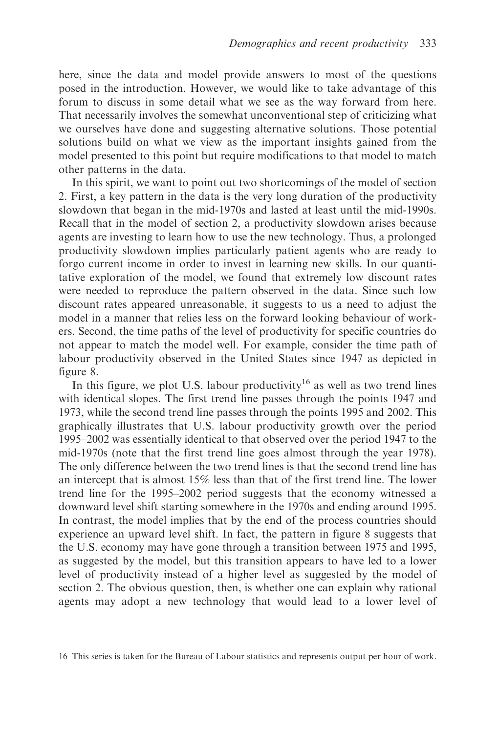here, since the data and model provide answers to most of the questions posed in the introduction. However, we would like to take advantage of this forum to discuss in some detail what we see as the way forward from here. That necessarily involves the somewhat unconventional step of criticizing what we ourselves have done and suggesting alternative solutions. Those potential solutions build on what we view as the important insights gained from the model presented to this point but require modifications to that model to match other patterns in the data.

In this spirit, we want to point out two shortcomings of the model of section 2. First, a key pattern in the data is the very long duration of the productivity slowdown that began in the mid-1970s and lasted at least until the mid-1990s. Recall that in the model of section 2, a productivity slowdown arises because agents are investing to learn how to use the new technology. Thus, a prolonged productivity slowdown implies particularly patient agents who are ready to forgo current income in order to invest in learning new skills. In our quantitative exploration of the model, we found that extremely low discount rates were needed to reproduce the pattern observed in the data. Since such low discount rates appeared unreasonable, it suggests to us a need to adjust the model in a manner that relies less on the forward looking behaviour of workers. Second, the time paths of the level of productivity for specific countries do not appear to match the model well. For example, consider the time path of labour productivity observed in the United States since 1947 as depicted in figure 8.

In this figure, we plot U.S. labour productivity<sup>16</sup> as well as two trend lines with identical slopes. The first trend line passes through the points 1947 and 1973, while the second trend line passes through the points 1995 and 2002. This graphically illustrates that U.S. labour productivity growth over the period 1995–2002 was essentially identical to that observed over the period 1947 to the mid-1970s (note that the first trend line goes almost through the year 1978). The only difference between the two trend lines is that the second trend line has an intercept that is almost 15% less than that of the first trend line. The lower trend line for the 1995–2002 period suggests that the economy witnessed a downward level shift starting somewhere in the 1970s and ending around 1995. In contrast, the model implies that by the end of the process countries should experience an upward level shift. In fact, the pattern in figure 8 suggests that the U.S. economy may have gone through a transition between 1975 and 1995, as suggested by the model, but this transition appears to have led to a lower level of productivity instead of a higher level as suggested by the model of section 2. The obvious question, then, is whether one can explain why rational agents may adopt a new technology that would lead to a lower level of

<sup>16</sup> This series is taken for the Bureau of Labour statistics and represents output per hour of work.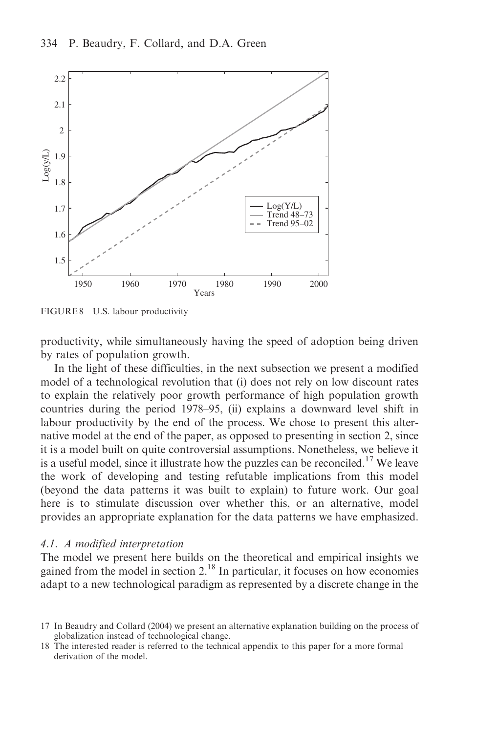

FIGURE 8 U.S. labour productivity

productivity, while simultaneously having the speed of adoption being driven by rates of population growth.

In the light of these difficulties, in the next subsection we present a modified model of a technological revolution that (i) does not rely on low discount rates to explain the relatively poor growth performance of high population growth countries during the period 1978–95, (ii) explains a downward level shift in labour productivity by the end of the process. We chose to present this alternative model at the end of the paper, as opposed to presenting in section 2, since it is a model built on quite controversial assumptions. Nonetheless, we believe it is a useful model, since it illustrate how the puzzles can be reconciled.<sup>17</sup> We leave the work of developing and testing refutable implications from this model (beyond the data patterns it was built to explain) to future work. Our goal here is to stimulate discussion over whether this, or an alternative, model provides an appropriate explanation for the data patterns we have emphasized.

#### 4.1. A modified interpretation

The model we present here builds on the theoretical and empirical insights we gained from the model in section  $2<sup>18</sup>$  In particular, it focuses on how economies adapt to a new technological paradigm as represented by a discrete change in the

18 The interested reader is referred to the technical appendix to this paper for a more formal derivation of the model.

<sup>17</sup> In Beaudry and Collard (2004) we present an alternative explanation building on the process of globalization instead of technological change.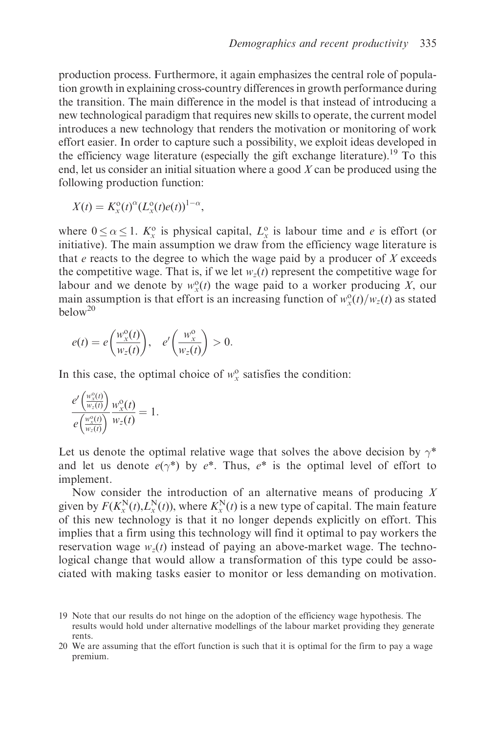production process. Furthermore, it again emphasizes the central role of population growth in explaining cross-country differences in growth performance during the transition. The main difference in the model is that instead of introducing a new technological paradigm that requires new skills to operate, the current model introduces a new technology that renders the motivation or monitoring of work effort easier. In order to capture such a possibility, we exploit ideas developed in the efficiency wage literature (especially the gift exchange literature).<sup>19</sup> To this end, let us consider an initial situation where a good  $X$  can be produced using the following production function:

$$
X(t) = K_x^{\circ}(t)^{\alpha} (L_x^{\circ}(t)e(t))^{1-\alpha},
$$

where  $0 \le \alpha \le 1$ .  $K_x^{\circ}$  is physical capital,  $L_x^{\circ}$  is labour time and e is effort (or initiative). The main assumption we draw from the efficiency wage literature is that  $e$  reacts to the degree to which the wage paid by a producer of  $X$  exceeds the competitive wage. That is, if we let  $w_z(t)$  represent the competitive wage for labour and we denote by  $w_x^{\circ}(t)$  the wage paid to a worker producing X, our main assumption is that effort is an increasing function of  $w_x^{\text{o}}(t)/w_z(t)$  as stated  $helow<sup>20</sup>$ 

$$
e(t) = e\left(\frac{w_x^{\text{o}}(t)}{w_z(t)}\right), \quad e'\left(\frac{w_x^{\text{o}}}{w_z(t)}\right) > 0.
$$

In this case, the optimal choice of  $w_x^{\text{o}}$  satisfies the condition:

$$
\frac{e^{\prime}\left(\frac{w_{x}^{\circ}(t)}{w_{z}(t)}\right)}{e\left(\frac{w_{x}^{\circ}(t)}{w_{z}(t)}\right)}\frac{w_{x}^{\circ}(t)}{w_{z}(t)}=1.
$$

Let us denote the optimal relative wage that solves the above decision by  $\gamma^*$ and let us denote  $e(\gamma^*)$  by  $e^*$ . Thus,  $e^*$  is the optimal level of effort to implement.

Now consider the introduction of an alternative means of producing  $X$ given by  $F(K_x^N(t), L_x^N(t))$ , where  $K_x^N(t)$  is a new type of capital. The main feature of this new technology is that it no longer depends explicitly on effort. This implies that a firm using this technology will find it optimal to pay workers the reservation wage  $w_z(t)$  instead of paying an above-market wage. The technological change that would allow a transformation of this type could be associated with making tasks easier to monitor or less demanding on motivation.

<sup>19</sup> Note that our results do not hinge on the adoption of the efficiency wage hypothesis. The results would hold under alternative modellings of the labour market providing they generate rents.

<sup>20</sup> We are assuming that the effort function is such that it is optimal for the firm to pay a wage premium.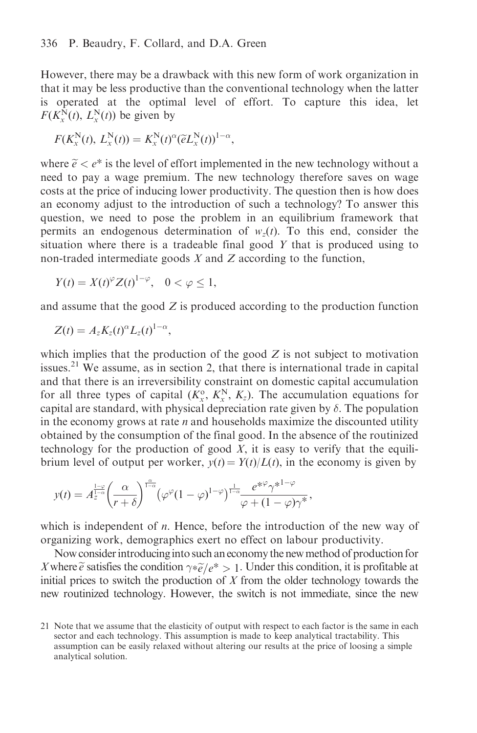However, there may be a drawback with this new form of work organization in that it may be less productive than the conventional technology when the latter is operated at the optimal level of effort. To capture this idea, let  $F(K_x^N(t), L_x^N(t))$  be given by

$$
F(K_x^N(t), L_x^N(t)) = K_x^N(t)^{\alpha} (\widetilde{e} L_x^N(t))^{1-\alpha},
$$

where  $\tilde{e} < e^*$  is the level of effort implemented in the new technology without a need to pay a wage premium. The new technology therefore saves on wage costs at the price of inducing lower productivity. The question then is how does an economy adjust to the introduction of such a technology? To answer this question, we need to pose the problem in an equilibrium framework that permits an endogenous determination of  $w_z(t)$ . To this end, consider the situation where there is a tradeable final good Y that is produced using to non-traded intermediate goods  $X$  and  $Z$  according to the function,

$$
Y(t) = X(t)^{\varphi} Z(t)^{1-\varphi}, \quad 0 < \varphi \le 1,
$$

and assume that the good  $Z$  is produced according to the production function

$$
Z(t) = A_z K_z(t)^{\alpha} L_z(t)^{1-\alpha},
$$

which implies that the production of the good  $Z$  is not subject to motivation issues.<sup>21</sup> We assume, as in section 2, that there is international trade in capital and that there is an irreversibility constraint on domestic capital accumulation for all three types of capital  $(K_x^0, K_x^N, K_z)$ . The accumulation equations for capital are standard, with physical depreciation rate given by  $\delta$ . The population in the economy grows at rate  $n$  and households maximize the discounted utility obtained by the consumption of the final good. In the absence of the routinized technology for the production of good  $X$ , it is easy to verify that the equilibrium level of output per worker,  $y(t) = Y(t)/L(t)$ , in the economy is given by

$$
y(t) = A_z^{\frac{1-\varphi}{1-\alpha}} \left(\frac{\alpha}{r+\delta}\right)^{\frac{\alpha}{1-\alpha}} \left(\varphi^{\varphi}(1-\varphi)^{1-\varphi}\right)^{\frac{1}{1-\alpha}} \frac{e^{*\varphi}\gamma^{*1-\varphi}}{\varphi+(1-\varphi)\gamma^*},
$$

which is independent of  $n$ . Hence, before the introduction of the new way of organizing work, demographics exert no effect on labour productivity.

Now consider introducing into such an economy the new method of production for X where  $\tilde{e}$  satisfies the condition  $\gamma * \tilde{e}/e^* > 1$ . Under this condition, it is profitable at initial prices to switch the production of  $X$  from the older technology towards the new routinized technology. However, the switch is not immediate, since the new

<sup>21</sup> Note that we assume that the elasticity of output with respect to each factor is the same in each sector and each technology. This assumption is made to keep analytical tractability. This assumption can be easily relaxed without altering our results at the price of loosing a simple analytical solution.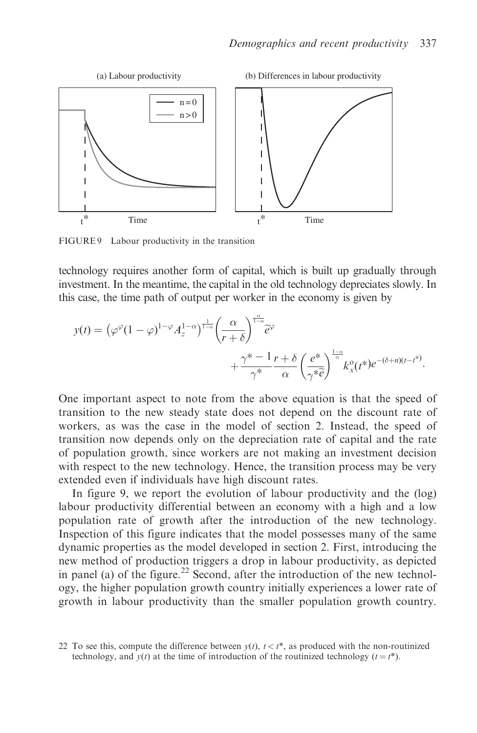

FIGURE 9 Labour productivity in the transition

technology requires another form of capital, which is built up gradually through investment. In the meantime, the capital in the old technology depreciates slowly. In this case, the time path of output per worker in the economy is given by

$$
y(t) = (\varphi^{\varphi}(1-\varphi)^{1-\varphi} A_{z}^{1-\alpha})^{\frac{1}{1-\alpha}} \left(\frac{\alpha}{r+\delta}\right)^{\frac{\alpha}{1-\alpha}} \tilde{e}^{\varphi} + \frac{\gamma^{*}-1}{\gamma^{*}} \frac{r+\delta}{\alpha} \left(\frac{e^{*}}{\gamma^{*}\tilde{e}}\right)^{\frac{1-\alpha}{\alpha}} k_{x}^{\circ}(t^{*}) e^{-(\delta+n)(t-t^{*})}.
$$

One important aspect to note from the above equation is that the speed of transition to the new steady state does not depend on the discount rate of workers, as was the case in the model of section 2. Instead, the speed of transition now depends only on the depreciation rate of capital and the rate of population growth, since workers are not making an investment decision with respect to the new technology. Hence, the transition process may be very extended even if individuals have high discount rates.

In figure 9, we report the evolution of labour productivity and the (log) labour productivity differential between an economy with a high and a low population rate of growth after the introduction of the new technology. Inspection of this figure indicates that the model possesses many of the same dynamic properties as the model developed in section 2. First, introducing the new method of production triggers a drop in labour productivity, as depicted in panel (a) of the figure.<sup>22</sup> Second, after the introduction of the new technology, the higher population growth country initially experiences a lower rate of growth in labour productivity than the smaller population growth country.

<sup>22</sup> To see this, compute the difference between  $y(t)$ ,  $t < t^*$ , as produced with the non-routinized technology, and  $y(t)$  at the time of introduction of the routinized technology ( $t = t^*$ ).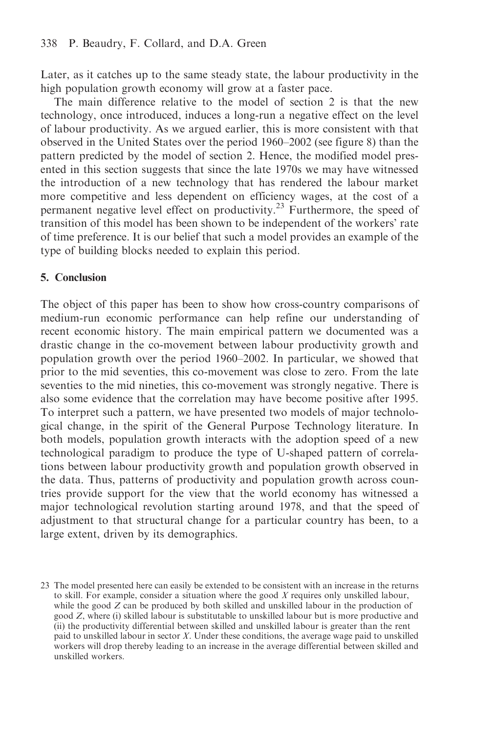Later, as it catches up to the same steady state, the labour productivity in the high population growth economy will grow at a faster pace.

The main difference relative to the model of section 2 is that the new technology, once introduced, induces a long-run a negative effect on the level of labour productivity. As we argued earlier, this is more consistent with that observed in the United States over the period 1960–2002 (see figure 8) than the pattern predicted by the model of section 2. Hence, the modified model presented in this section suggests that since the late 1970s we may have witnessed the introduction of a new technology that has rendered the labour market more competitive and less dependent on efficiency wages, at the cost of a permanent negative level effect on productivity.<sup>23</sup> Furthermore, the speed of transition of this model has been shown to be independent of the workers' rate of time preference. It is our belief that such a model provides an example of the type of building blocks needed to explain this period.

## 5. Conclusion

The object of this paper has been to show how cross-country comparisons of medium-run economic performance can help refine our understanding of recent economic history. The main empirical pattern we documented was a drastic change in the co-movement between labour productivity growth and population growth over the period 1960–2002. In particular, we showed that prior to the mid seventies, this co-movement was close to zero. From the late seventies to the mid nineties, this co-movement was strongly negative. There is also some evidence that the correlation may have become positive after 1995. To interpret such a pattern, we have presented two models of major technological change, in the spirit of the General Purpose Technology literature. In both models, population growth interacts with the adoption speed of a new technological paradigm to produce the type of U-shaped pattern of correlations between labour productivity growth and population growth observed in the data. Thus, patterns of productivity and population growth across countries provide support for the view that the world economy has witnessed a major technological revolution starting around 1978, and that the speed of adjustment to that structural change for a particular country has been, to a large extent, driven by its demographics.

23 The model presented here can easily be extended to be consistent with an increase in the returns to skill. For example, consider a situation where the good  $X$  requires only unskilled labour, while the good  $Z$  can be produced by both skilled and unskilled labour in the production of good Z, where (i) skilled labour is substitutable to unskilled labour but is more productive and (ii) the productivity differential between skilled and unskilled labour is greater than the rent paid to unskilled labour in sector X. Under these conditions, the average wage paid to unskilled workers will drop thereby leading to an increase in the average differential between skilled and unskilled workers.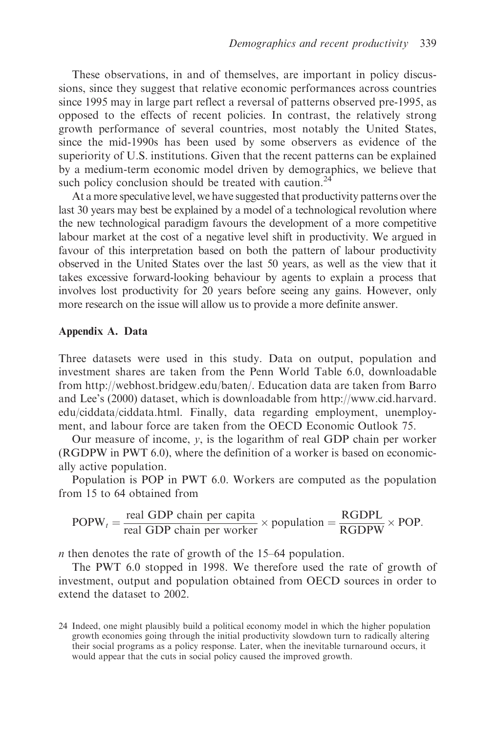These observations, in and of themselves, are important in policy discussions, since they suggest that relative economic performances across countries since 1995 may in large part reflect a reversal of patterns observed pre-1995, as opposed to the effects of recent policies. In contrast, the relatively strong growth performance of several countries, most notably the United States, since the mid-1990s has been used by some observers as evidence of the superiority of U.S. institutions. Given that the recent patterns can be explained by a medium-term economic model driven by demographics, we believe that such policy conclusion should be treated with caution.<sup>24</sup>

At a more speculative level, we have suggested that productivity patterns over the last 30 years may best be explained by a model of a technological revolution where the new technological paradigm favours the development of a more competitive labour market at the cost of a negative level shift in productivity. We argued in favour of this interpretation based on both the pattern of labour productivity observed in the United States over the last 50 years, as well as the view that it takes excessive forward-looking behaviour by agents to explain a process that involves lost productivity for 20 years before seeing any gains. However, only more research on the issue will allow us to provide a more definite answer.

## Appendix A. Data

Three datasets were used in this study. Data on output, population and investment shares are taken from the Penn World Table 6.0, downloadable from http://webhost.bridgew.edu/baten/. Education data are taken from Barro and Lee's (2000) dataset, which is downloadable from http://www.cid.harvard. edu/ciddata/ciddata.html. Finally, data regarding employment, unemployment, and labour force are taken from the OECD Economic Outlook 75.

Our measure of income,  $y$ , is the logarithm of real GDP chain per worker (RGDPW in PWT 6.0), where the definition of a worker is based on economically active population.

Population is POP in PWT 6.0. Workers are computed as the population from 15 to 64 obtained from

$$
POPW_t = \frac{\text{real GDP chain per capita}}{\text{real GDP chain per worker}} \times \text{population} = \frac{\text{RGDPL}}{\text{RGDPW}} \times \text{POP}.
$$

n then denotes the rate of growth of the 15–64 population.

The PWT 6.0 stopped in 1998. We therefore used the rate of growth of investment, output and population obtained from OECD sources in order to extend the dataset to 2002.

<sup>24</sup> Indeed, one might plausibly build a political economy model in which the higher population growth economies going through the initial productivity slowdown turn to radically altering their social programs as a policy response. Later, when the inevitable turnaround occurs, it would appear that the cuts in social policy caused the improved growth.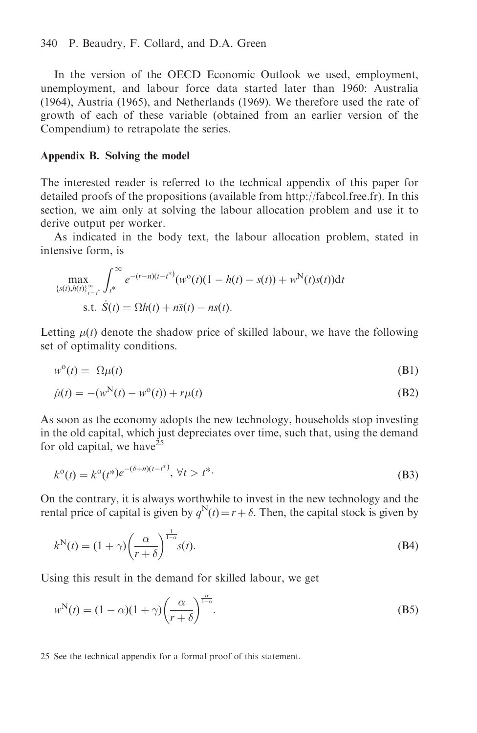In the version of the OECD Economic Outlook we used, employment, unemployment, and labour force data started later than 1960: Australia (1964), Austria (1965), and Netherlands (1969). We therefore used the rate of growth of each of these variable (obtained from an earlier version of the Compendium) to retrapolate the series.

#### Appendix B. Solving the model

The interested reader is referred to the technical appendix of this paper for detailed proofs of the propositions (available from http://fabcol.free.fr). In this section, we aim only at solving the labour allocation problem and use it to derive output per worker.

As indicated in the body text, the labour allocation problem, stated in intensive form, is

$$
\max_{\{s(t), h(t)\}_{t=t^*}^{\infty}} \int_{t^*}^{\infty} e^{-(r-n)(t-t^*)} (w^{\circ}(t)(1-h(t)-s(t)) + w^{\mathbb{N}}(t)s(t)) dt
$$
  
s.t.  $\dot{S}(t) = \Omega h(t) + n\overline{s}(t) - ns(t).$ 

Letting  $\mu(t)$  denote the shadow price of skilled labour, we have the following set of optimality conditions.

$$
w^{\circ}(t) = \Omega \mu(t) \tag{B1}
$$

$$
\dot{\mu}(t) = -(w^N(t) - w^0(t)) + r\mu(t)
$$
\n(B2)

As soon as the economy adopts the new technology, households stop investing in the old capital, which just depreciates over time, such that, using the demand for old capital, we have  $2^5$ 

$$
k^{\circ}(t) = k^{\circ}(t^{*})e^{-(\delta + n)(t - t^{*})}, \forall t > t^{*}.
$$
\n(B3)

On the contrary, it is always worthwhile to invest in the new technology and the rental price of capital is given by  $q^{N}(t) = r + \delta$ . Then, the capital stock is given by

$$
k^{\mathcal{N}}(t) = (1+\gamma) \left(\frac{\alpha}{r+\delta}\right)^{\frac{1}{1-\alpha}} s(t). \tag{B4}
$$

Using this result in the demand for skilled labour, we get

$$
w^N(t) = (1 - \alpha)(1 + \gamma) \left(\frac{\alpha}{r + \delta}\right)^{\frac{\alpha}{1 - \alpha}}.
$$
 (B5)

25 See the technical appendix for a formal proof of this statement.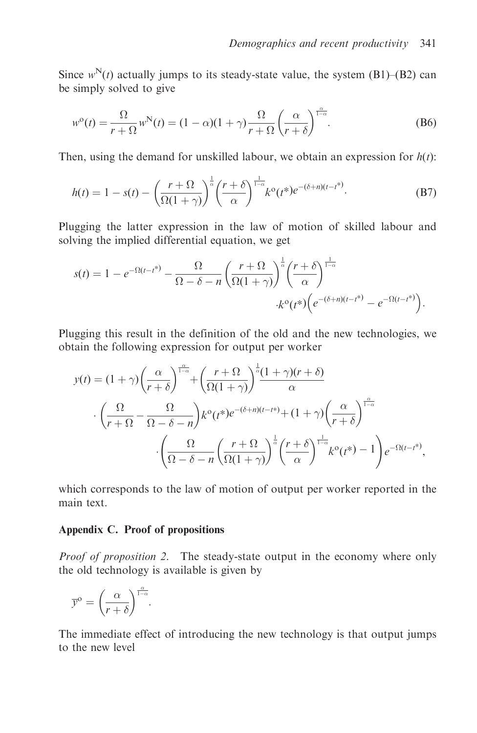Since  $w^N(t)$  actually jumps to its steady-state value, the system (B1)–(B2) can be simply solved to give

$$
w^{\text{o}}(t) = \frac{\Omega}{r + \Omega} w^{\text{N}}(t) = (1 - \alpha)(1 + \gamma) \frac{\Omega}{r + \Omega} \left(\frac{\alpha}{r + \delta}\right)^{\frac{\alpha}{1 - \alpha}}.
$$
 (B6)

Then, using the demand for unskilled labour, we obtain an expression for  $h(t)$ :

$$
h(t) = 1 - s(t) - \left(\frac{r + \Omega}{\Omega(1 + \gamma)}\right)^{\frac{1}{\alpha}} \left(\frac{r + \delta}{\alpha}\right)^{\frac{1}{1 - \alpha}} k^{\circ}(t^{*}) e^{-(\delta + n)(t - t^{*})}.
$$
 (B7)

Plugging the latter expression in the law of motion of skilled labour and solving the implied differential equation, we get

$$
s(t) = 1 - e^{-\Omega(t-t^*)} - \frac{\Omega}{\Omega - \delta - n} \left(\frac{r+\Omega}{\Omega(1+\gamma)}\right)^{\frac{1}{\alpha}} \left(\frac{r+\delta}{\alpha}\right)^{\frac{1}{1-\alpha}}
$$

$$
\cdot k^{\circ}(t^*) \left(e^{-(\delta+n)(t-t^*)} - e^{-\Omega(t-t^*)}\right).
$$

Plugging this result in the definition of the old and the new technologies, we obtain the following expression for output per worker

$$
y(t) = (1+\gamma)\left(\frac{\alpha}{r+\delta}\right)^{\frac{\alpha}{1-\alpha}} + \left(\frac{r+\Omega}{\Omega(1+\gamma)}\right)^{\frac{1}{\alpha}}\frac{(1+\gamma)(r+\delta)}{\alpha}
$$

$$
\cdot \left(\frac{\Omega}{r+\Omega} - \frac{\Omega}{\Omega-\delta-n}\right)k^{\circ}(t^{*})e^{-(\delta+n)(t-t^{*})} + (1+\gamma)\left(\frac{\alpha}{r+\delta}\right)^{\frac{\alpha}{1-\alpha}}
$$

$$
\cdot \left(\frac{\Omega}{\Omega-\delta-n}\left(\frac{r+\Omega}{\Omega(1+\gamma)}\right)^{\frac{1}{\alpha}}\left(\frac{r+\delta}{\alpha}\right)^{\frac{1}{1-\alpha}}k^{\circ}(t^{*}) - 1\right)e^{-\Omega(t-t^{*})},
$$

which corresponds to the law of motion of output per worker reported in the main text.

# Appendix C. Proof of propositions

*Proof of proposition 2.* The steady-state output in the economy where only the old technology is available is given by

$$
\overline{y}^{\mathrm{o}} = \left(\frac{\alpha}{r+\delta}\right)^{\frac{\alpha}{1-\alpha}}.
$$

The immediate effect of introducing the new technology is that output jumps to the new level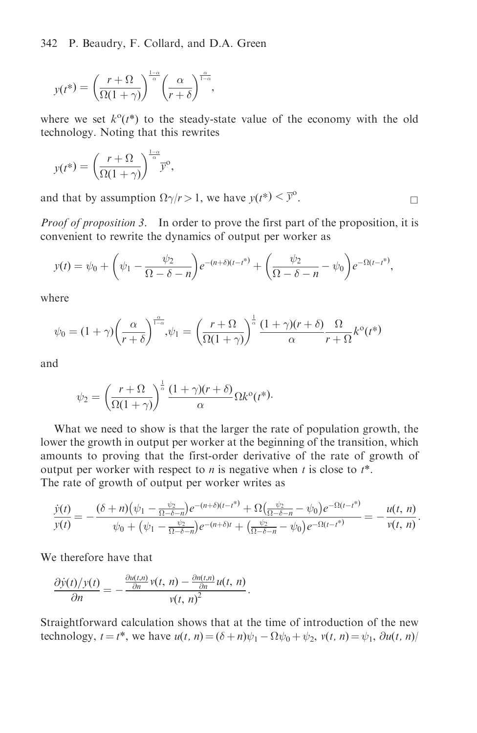$$
y(t^*) = \left(\frac{r+\Omega}{\Omega(1+\gamma)}\right)^{\frac{1-\alpha}{\alpha}} \left(\frac{\alpha}{r+\delta}\right)^{\frac{\alpha}{1-\alpha}},
$$

where we set  $k^{\circ}(t^*)$  to the steady-state value of the economy with the old technology. Noting that this rewrites

$$
y(t^*) = \left(\frac{r+\Omega}{\Omega(1+\gamma)}\right)^{\frac{1-\alpha}{\alpha}}\overline{y}^{\circ},
$$

and that by assumption  $\Omega \gamma/r > 1$ , we have  $y(t^*) \leq \overline{y}^{\circ}$ . The contract of  $\Box$ 

Proof of proposition 3. In order to prove the first part of the proposition, it is convenient to rewrite the dynamics of output per worker as

$$
y(t) = \psi_0 + \left(\psi_1 - \frac{\psi_2}{\Omega - \delta - n}\right) e^{-(n+\delta)(t-t^*)} + \left(\frac{\psi_2}{\Omega - \delta - n} - \psi_0\right) e^{-\Omega(t-t^*)},
$$

where

$$
\psi_0 = (1+\gamma)\left(\frac{\alpha}{r+\delta}\right)^{\frac{\alpha}{1-\alpha}}, \psi_1 = \left(\frac{r+\Omega}{\Omega(1+\gamma)}\right)^{\frac{1}{\alpha}} \frac{(1+\gamma)(r+\delta)}{\alpha} \frac{\Omega}{r+\Omega} k^{\circ}(t^*)
$$

and

$$
\psi_2 = \left(\frac{r+\Omega}{\Omega(1+\gamma)}\right)^{\frac{1}{\alpha}} \frac{(1+\gamma)(r+\delta)}{\alpha} \Omega k^{\circ}(t^*)
$$

What we need to show is that the larger the rate of population growth, the lower the growth in output per worker at the beginning of the transition, which amounts to proving that the first-order derivative of the rate of growth of output per worker with respect to *n* is negative when *t* is close to  $t^*$ . The rate of growth of output per worker writes as

$$
\frac{\dot{y}(t)}{y(t)} = -\frac{(\delta + n)\left(\psi_1 - \frac{\psi_2}{\Omega - \delta - n}\right)e^{-(n+\delta)(t-t^*)} + \Omega\left(\frac{\psi_2}{\Omega - \delta - n} - \psi_0\right)e^{-\Omega(t-t^*)}}{\psi_0 + \left(\psi_1 - \frac{\psi_2}{\Omega - \delta - n}\right)e^{-(n+\delta)t} + \left(\frac{\psi_2}{\Omega - \delta - n} - \psi_0\right)e^{-\Omega(t-t^*)}} = -\frac{u(t, n)}{v(t, n)}.
$$

We therefore have that

$$
\frac{\partial \dot{y}(t)/y(t)}{\partial n} = -\frac{\frac{\partial u(t,n)}{\partial n}v(t,n) - \frac{\partial n(t,n)}{\partial n}u(t,n)}{v(t,n)^2}.
$$

Straightforward calculation shows that at the time of introduction of the new technology,  $t = t^*$ , we have  $u(t, n) = (\delta + n)\psi_1 - \Omega \psi_0 + \psi_2$ ,  $v(t, n) = \psi_1$ ,  $\partial u(t, n)$ /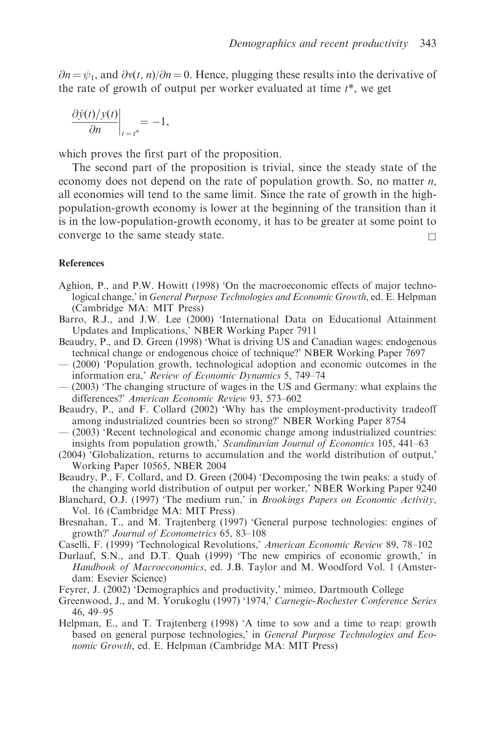$\partial n = \psi_1$ , and  $\partial v(t, n)/\partial n = 0$ . Hence, plugging these results into the derivative of the rate of growth of output per worker evaluated at time  $t^*$ , we get

$$
\left. \frac{\partial \dot{y}(t)/y(t)}{\partial n} \right|_{t=t^*} = -1,
$$

which proves the first part of the proposition.

The second part of the proposition is trivial, since the steady state of the economy does not depend on the rate of population growth. So, no matter  $n$ , all economies will tend to the same limit. Since the rate of growth in the highpopulation-growth economy is lower at the beginning of the transition than it is in the low-population-growth economy, it has to be greater at some point to converge to the same steady state.  $\Box$ 

#### References

- Aghion, P., and P.W. Howitt (1998) 'On the macroeconomic effects of major technological change,' in *General Purpose Technologies and Economic Growth*, ed. E. Helpman (Cambridge MA: MIT Press)
- Barro, R.J., and J.W. Lee (2000) 'International Data on Educational Attainment Updates and Implications,' NBER Working Paper 7911
- Beaudry, P., and D. Green (1998) 'What is driving US and Canadian wages: endogenous technical change or endogenous choice of technique?' NBER Working Paper 7697
- –– (2000) 'Population growth, technological adoption and economic outcomes in the information era,' Review of Economic Dynamics 5, 749–74
- –– (2003) 'The changing structure of wages in the US and Germany: what explains the differences?' American Economic Review 93, 573–602
- Beaudry, P., and F. Collard (2002) 'Why has the employment-productivity tradeoff among industrialized countries been so strong?' NBER Working Paper 8754
- –– (2003) 'Recent technological and economic change among industrialized countries: insights from population growth,' Scandinavian Journal of Economics 105, 441–63
- (2004) 'Globalization, returns to accumulation and the world distribution of output,' Working Paper 10565, NBER 2004
- Beaudry, P., F. Collard, and D. Green (2004) 'Decomposing the twin peaks: a study of the changing world distribution of output per worker,' NBER Working Paper 9240
- Blanchard, O.J. (1997) 'The medium run,' in Brookings Papers on Economic Activity, Vol. 16 (Cambridge MA: MIT Press)
- Bresnahan, T., and M. Trajtenberg (1997) 'General purpose technologies: engines of growth?' Journal of Econometrics 65, 83–108
- Caselli, F. (1999) 'Technological Revolutions,' American Economic Review 89, 78–102
- Durlauf, S.N., and D.T. Quah (1999) 'The new empirics of economic growth,' in Handbook of Macroeconomics, ed. J.B. Taylor and M. Woodford Vol. 1 (Amsterdam: Esevier Science)
- Feyrer, J. (2002) 'Demographics and productivity,' mimeo, Dartmouth College
- Greenwood, J., and M. Yorukoglu (1997) '1974,' Carnegie-Rochester Conference Series 46, 49–95
- Helpman, E., and T. Trajtenberg (1998) 'A time to sow and a time to reap: growth based on general purpose technologies,' in General Purpose Technologies and Economic Growth, ed. E. Helpman (Cambridge MA: MIT Press)